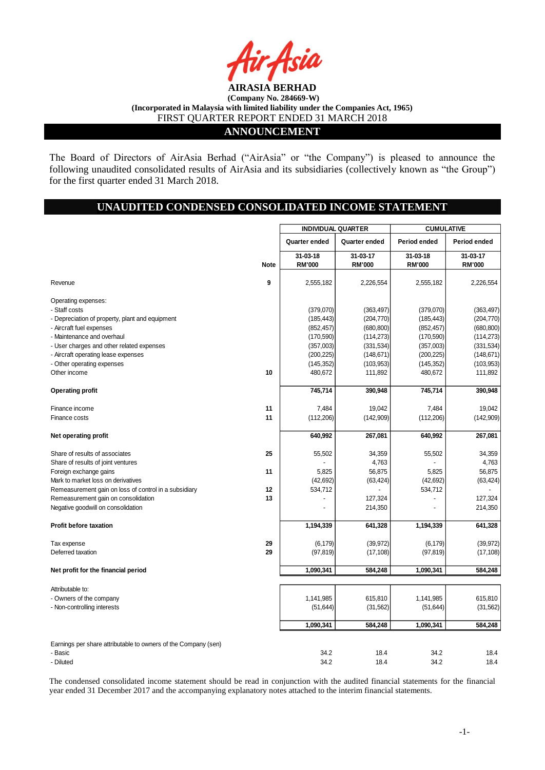

# **ANNOUNCEMENT**

The Board of Directors of AirAsia Berhad ("AirAsia" or "the Company") is pleased to announce the following unaudited consolidated results of AirAsia and its subsidiaries (collectively known as "the Group") for the first quarter ended 31 March 2018.

# **UNAUDITED CONDENSED CONSOLIDATED INCOME STATEMENT**

|                                                                |             | <b>INDIVIDUAL QUARTER</b> |               | <b>CUMULATIVE</b> |               |  |
|----------------------------------------------------------------|-------------|---------------------------|---------------|-------------------|---------------|--|
|                                                                |             | Quarter ended             | Quarter ended | Period ended      | Period ended  |  |
|                                                                |             | 31-03-18                  | 31-03-17      | 31-03-18          | 31-03-17      |  |
|                                                                | <b>Note</b> | <b>RM'000</b>             | <b>RM'000</b> | <b>RM'000</b>     | <b>RM'000</b> |  |
| Revenue                                                        | 9           | 2,555,182                 | 2,226,554     | 2,555,182         | 2,226,554     |  |
| Operating expenses:                                            |             |                           |               |                   |               |  |
| - Staff costs                                                  |             | (379,070)                 | (363, 497)    | (379,070)         | (363, 497)    |  |
| - Depreciation of property, plant and equipment                |             | (185, 443)                | (204, 770)    | (185, 443)        | (204, 770)    |  |
| - Aircraft fuel expenses                                       |             | (852, 457)                | (680, 800)    | (852, 457)        | (680, 800)    |  |
| - Maintenance and overhaul                                     |             | (170, 590)                | (114, 273)    | (170, 590)        | (114, 273)    |  |
| - User charges and other related expenses                      |             | (357,003)                 | (331, 534)    | (357,003)         | (331, 534)    |  |
| - Aircraft operating lease expenses                            |             | (200, 225)                | (148, 671)    | (200, 225)        | (148, 671)    |  |
| - Other operating expenses                                     |             | (145, 352)                | (103, 953)    | (145, 352)        | (103, 953)    |  |
| Other income                                                   | 10          | 480,672                   | 111,892       | 480,672           | 111,892       |  |
| <b>Operating profit</b>                                        |             | 745,714                   | 390,948       | 745,714           | 390,948       |  |
| Finance income                                                 | 11          | 7,484                     | 19,042        | 7,484             | 19,042        |  |
| Finance costs                                                  | 11          |                           |               |                   |               |  |
|                                                                |             | (112, 206)                | (142,909)     | (112, 206)        | (142,909)     |  |
| Net operating profit                                           |             | 640,992                   | 267,081       | 640,992           | 267,081       |  |
| Share of results of associates                                 | 25          | 55,502                    | 34,359        | 55,502            | 34,359        |  |
| Share of results of joint ventures                             |             |                           | 4,763         |                   | 4,763         |  |
| Foreign exchange gains                                         | 11          | 5,825                     | 56,875        | 5,825             | 56,875        |  |
| Mark to market loss on derivatives                             |             | (42, 692)                 | (63, 424)     | (42, 692)         | (63, 424)     |  |
| Remeasurement gain on loss of control in a subsidiary          | 12          | 534,712                   |               | 534,712           |               |  |
| Remeasurement gain on consolidation                            | 13          |                           | 127,324       |                   | 127,324       |  |
| Negative goodwill on consolidation                             |             |                           | 214,350       |                   | 214,350       |  |
| <b>Profit before taxation</b>                                  |             | 1,194,339                 | 641,328       | 1,194,339         | 641,328       |  |
|                                                                |             |                           |               |                   |               |  |
| Tax expense                                                    | 29          | (6, 179)                  | (39, 972)     | (6, 179)          | (39, 972)     |  |
| Deferred taxation                                              | 29          | (97, 819)                 | (17, 108)     | (97, 819)         | (17, 108)     |  |
| Net profit for the financial period                            |             | 1,090,341                 | 584,248       | 1,090,341         | 584,248       |  |
| Attributable to:                                               |             |                           |               |                   |               |  |
| - Owners of the company                                        |             | 1,141,985                 | 615,810       | 1,141,985         | 615,810       |  |
| - Non-controlling interests                                    |             | (51, 644)                 | (31, 562)     | (51, 644)         | (31, 562)     |  |
|                                                                |             |                           |               |                   |               |  |
|                                                                |             | 1,090,341                 | 584,248       | 1,090,341         | 584,248       |  |
| Earnings per share attributable to owners of the Company (sen) |             |                           |               |                   |               |  |
| - Basic                                                        |             | 34.2                      | 18.4          | 34.2              | 18.4          |  |
| - Diluted                                                      |             | 34.2                      | 18.4          | 34.2              | 18.4          |  |

The condensed consolidated income statement should be read in conjunction with the audited financial statements for the financial year ended 31 December 2017 and the accompanying explanatory notes attached to the interim financial statements.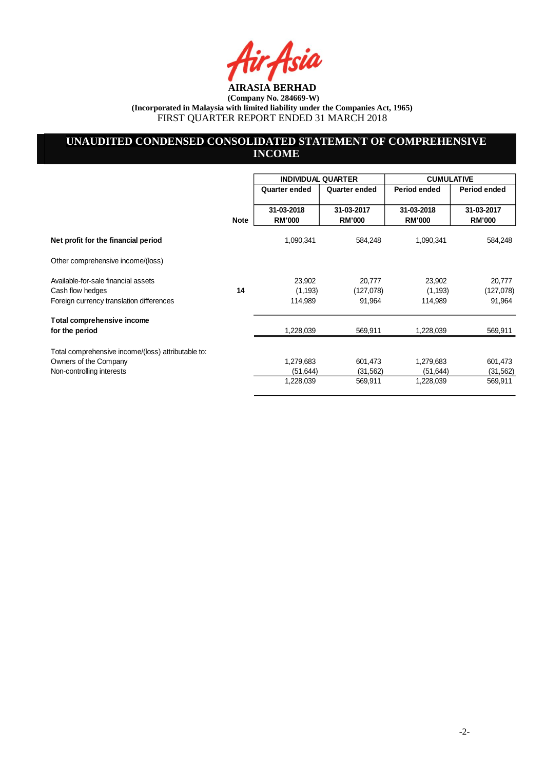ia

# **UNAUDITED CONDENSED CONSOLIDATED STATEMENT OF COMPREHENSIVE INCOME**

|                                                                             |             | <b>INDIVIDUAL QUARTER</b>   |                             | <b>CUMULATIVE</b>           |                             |  |
|-----------------------------------------------------------------------------|-------------|-----------------------------|-----------------------------|-----------------------------|-----------------------------|--|
|                                                                             |             | Quarter ended               | Quarter ended               | Period ended                | Period ended                |  |
|                                                                             | <b>Note</b> | 31-03-2018<br><b>RM'000</b> | 31-03-2017<br><b>RM'000</b> | 31-03-2018<br><b>RM'000</b> | 31-03-2017<br><b>RM'000</b> |  |
| Net profit for the financial period                                         |             | 1,090,341                   | 584,248                     | 1,090,341                   | 584,248                     |  |
| Other comprehensive income/(loss)                                           |             |                             |                             |                             |                             |  |
| Available-for-sale financial assets<br>Cash flow hedges                     | 14          | 23,902<br>(1, 193)          | 20,777<br>(127,078)         | 23,902<br>(1, 193)          | 20,777<br>(127,078)         |  |
| Foreign currency translation differences                                    |             | 114,989                     | 91,964                      | 114,989                     | 91,964                      |  |
| Total comprehensive income<br>for the period                                |             | 1,228,039                   | 569,911                     | 1,228,039                   | 569,911                     |  |
| Total comprehensive income/(loss) attributable to:<br>Owners of the Company |             | 1,279,683                   | 601,473                     | 1,279,683                   | 601,473                     |  |
| Non-controlling interests                                                   |             | (51, 644)                   | (31, 562)                   | (51, 644)                   | (31, 562)                   |  |
|                                                                             |             | 1,228,039                   | 569,911                     | 1,228,039                   | 569,911                     |  |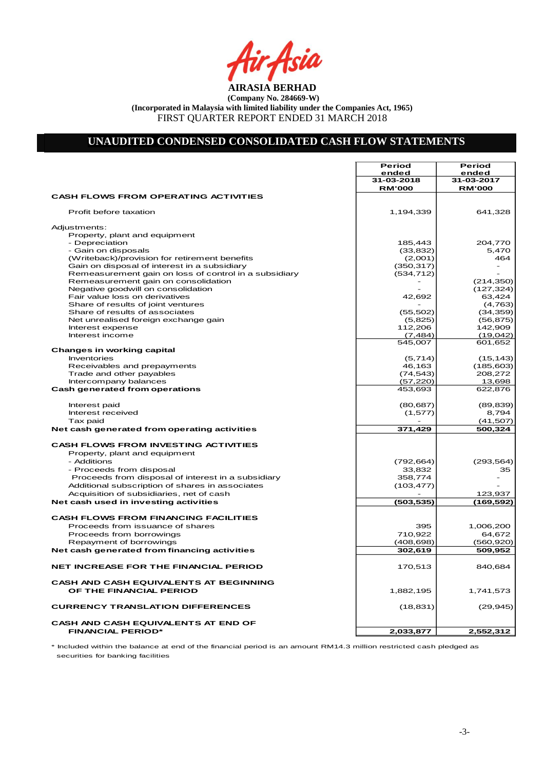Air<sub>t</sub>Asia

# **UNAUDITED CONDENSED CONSOLIDATED CASH FLOW STATEMENTS**

|                                                       | Period        | Period        |
|-------------------------------------------------------|---------------|---------------|
|                                                       | ended         | ended         |
|                                                       | 31-03-2018    | 31-03-2017    |
|                                                       | <b>RM'000</b> | <b>RM'000</b> |
| <b>CASH FLOWS FROM OPERATING ACTIVITIES</b>           |               |               |
|                                                       |               |               |
| Profit before taxation                                | 1,194,339     | 641,328       |
|                                                       |               |               |
| Adjustments:                                          |               |               |
| Property, plant and equipment                         |               |               |
| - Depreciation                                        | 185,443       | 204,770       |
| - Gain on disposals                                   | (33, 832)     | 5,470         |
| (Writeback)/provision for retirement benefits         | (2,001)       | 464           |
| Gain on disposal of interest in a subsidiary          | (350, 317)    | ۰             |
| Remeasurement gain on loss of control in a subsidiary | (534, 712)    |               |
| Remeasurement gain on consolidation                   |               | (214, 350)    |
| Negative goodwill on consolidation                    |               | (127, 324)    |
| Fair value loss on derivatives                        | 42,692        | 63,424        |
| Share of results of joint ventures                    |               | (4,763)       |
| Share of results of associates                        | (55, 502)     | (34, 359)     |
| Net unrealised foreign exchange gain                  | (5,825)       | (56, 875)     |
| Interest expense                                      | 112,206       | 142,909       |
|                                                       |               |               |
| Interest income                                       | (7, 484)      | (19,042)      |
|                                                       | 545,007       | 601,652       |
| <b>Changes in working capital</b>                     |               |               |
| Inventories                                           | (5,714)       | (15, 143)     |
| Receivables and prepayments                           | 46,163        | (185, 603)    |
| Trade and other payables                              | (74, 543)     | 208,272       |
| Intercompany balances                                 | (57, 220)     | 13,698        |
| Cash generated from operations                        | 453,693       | 622,876       |
|                                                       |               |               |
| Interest paid                                         | (80, 687)     | (89, 839)     |
| Interest received                                     | (1, 577)      | 8,794         |
| Tax paid                                              |               | (41, 507)     |
|                                                       |               |               |
| Net cash generated from operating activities          | 371,429       | 500,324       |
| <b>CASH FLOWS FROM INVESTING ACTIVITIES</b>           |               |               |
| Property, plant and equipment                         |               |               |
|                                                       |               |               |
| - Additions                                           | (792, 664)    | (293, 564)    |
| - Proceeds from disposal                              | 33,832        | 35            |
| Proceeds from disposal of interest in a subsidiary    | 358,774       |               |
| Additional subscription of shares in associates       | (103, 477)    |               |
| Acquisition of subsidiaries, net of cash              |               | 123,937       |
| Net cash used in investing activities                 | (503, 535)    | (169,592)     |
|                                                       |               |               |
| <b>CASH FLOWS FROM FINANCING FACILITIES</b>           |               |               |
| Proceeds from issuance of shares                      | 395           | 1,006,200     |
| Proceeds from borrowings                              | 710,922       | 64,672        |
| Repayment of borrowings                               | (408, 698)    | (560, 920)    |
| Net cash generated from financing activities          | 302,619       | 509,952       |
|                                                       |               |               |
| <b>NET INCREASE FOR THE FINANCIAL PERIOD</b>          | 170,513       | 840,684       |
| <b>CASH AND CASH EQUIVALENTS AT BEGINNING</b>         |               |               |
| OF THE FINANCIAL PERIOD                               | 1,882,195     | 1,741,573     |
| <b>CURRENCY TRANSLATION DIFFERENCES</b>               | (18, 831)     | (29, 945)     |
| CASH AND CASH EQUIVALENTS AT END OF                   |               |               |
| <b>FINANCIAL PERIOD*</b>                              | 2,033,877     | 2,552,312     |

\* Included within the balance at end of the financial period is an amount RM14.3 million restricted cash pledged as securities for banking facilities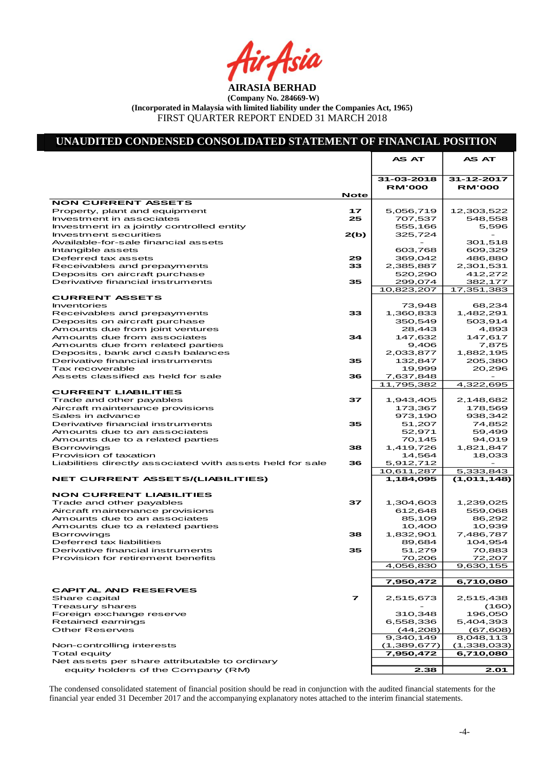Asia

# **UNAUDITED CONDENSED CONSOLIDATED STATEMENT OF FINANCIAL POSITION**

|                                                           |                | AS AT         | AS AT            |
|-----------------------------------------------------------|----------------|---------------|------------------|
|                                                           |                |               |                  |
|                                                           |                | 31-03-2018    | 31-12-2017       |
|                                                           | Note           | <b>RM'000</b> | <b>RM'000</b>    |
| <b>NON CURRENT ASSETS</b>                                 |                |               |                  |
| Property, plant and equipment                             | 17             | 5,056,719     | 12,303,522       |
| Investment in associates                                  | 25             | 707,537       | 548,558          |
| Investment in a jointly controlled entity                 |                | 555,166       | 5,596            |
| Investment securities                                     | 2(b)           | 325,724       |                  |
| Available-for-sale financial assets                       |                |               | 301,518          |
| Intangible assets                                         |                | 603,768       | 609,329          |
| Deferred tax assets                                       | 29             | 369,042       | 486,880          |
| Receivables and prepayments                               | 33             | 2,385,887     | 2,301,531        |
| Deposits on aircraft purchase                             |                | 520,290       | 412,272          |
| Derivative financial instruments                          | 35             | 299,074       | 382,177          |
|                                                           |                | 10,823,207    | 17,351,383       |
| <b>CURRENT ASSETS</b>                                     |                |               |                  |
| Inventories                                               |                | 73,948        | 68,234           |
| Receivables and prepayments                               | 33             | 1,360,833     | 1,482,291        |
| Deposits on aircraft purchase                             |                | 350,549       | 503,914          |
| Amounts due from joint ventures                           |                | 28,443        | 4,893            |
| Amounts due from associates                               | 34             | 147,632       | 147,617          |
| Amounts due from related parties                          |                | 9,406         | 7,875            |
| Deposits, bank and cash balances                          |                | 2,033,877     | 1,882,195        |
| Derivative financial instruments                          | 35             | 132,847       | 205,380          |
| Tax recoverable<br>Assets classified as held for sale     |                | 19,999        | 20,296           |
|                                                           | 36             | 7,637,848     |                  |
| <b>CURRENT LIABILITIES</b>                                |                | 11,795,382    | 4,322,695        |
| Trade and other payables                                  | 37             | 1,943,405     | 2,148,682        |
| Aircraft maintenance provisions                           |                | 173,367       | 178,569          |
| Sales in advance                                          |                | 973,190       | 938,342          |
| Derivative financial instruments                          | 35             | 51,207        | 74,852           |
| Amounts due to an associates                              |                | 52,971        | 59,499           |
| Amounts due to a related parties                          |                | 70,145        | 94,019           |
| <b>Borrowings</b>                                         | 38             | 1,419,726     | 1,821,847        |
| Provision of taxation                                     |                | 14,564        | 18,033           |
| Liabilities directly associated with assets held for sale | 36             | 5,912,712     |                  |
|                                                           |                | 10,611,287    | 5,333,843        |
| <b>NET CURRENT ASSETS/(LIABILITIES)</b>                   |                | 1.184,095     | (1,011,148)      |
|                                                           |                |               |                  |
| <b>NON CURRENT LIABILITIES</b>                            |                |               |                  |
| Trade and other payables                                  | 37             | 1,304,603     | 1,239,025        |
| Aircraft maintenance provisions                           |                | 612,648       | 559,068          |
| Amounts due to an associates                              |                | 85,109        | 86,292           |
| Amounts due to a related parties                          |                | 10,400        | 10,939           |
| <b>Borrowings</b>                                         | 38             | 1,832,901     | 7,486,787        |
| Deferred tax liabilities                                  |                | 89,684        | 104,954          |
| Derivative financial instruments                          | 35             | 51,279        | 70,883           |
| Provision for retirement benefits                         |                | 70,206        | 72,207           |
|                                                           |                | 4,056,830     | 9,630,155        |
|                                                           |                |               |                  |
|                                                           |                | 7,950,472     | 6,710,080        |
| <b>CAPITAL AND RESERVES</b>                               | $\overline{ }$ |               |                  |
| Share capital                                             |                | 2,515,673     | 2,515,438        |
| <b>Treasury shares</b><br>Foreign exchange reserve        |                | 310,348       | (160)<br>196,050 |
| Retained earnings                                         |                | 6,558,336     | 5,404,393        |
| <b>Other Reserves</b>                                     |                | (44, 208)     | (67, 608)        |
|                                                           |                | 9,340,149     | 8,048,113        |
| Non-controlling interests                                 |                | (1,389,677)   | (1,338,033)      |
| Total equity                                              |                | 7,950,472     | 6,710,080        |
| Net assets per share attributable to ordinary             |                |               |                  |
| equity holders of the Company (RM)                        |                | 2.38          | 2.01             |
|                                                           |                |               |                  |

The condensed consolidated statement of financial position should be read in conjunction with the audited financial statements for the financial year ended 31 December 2017 and the accompanying explanatory notes attached to the interim financial statements.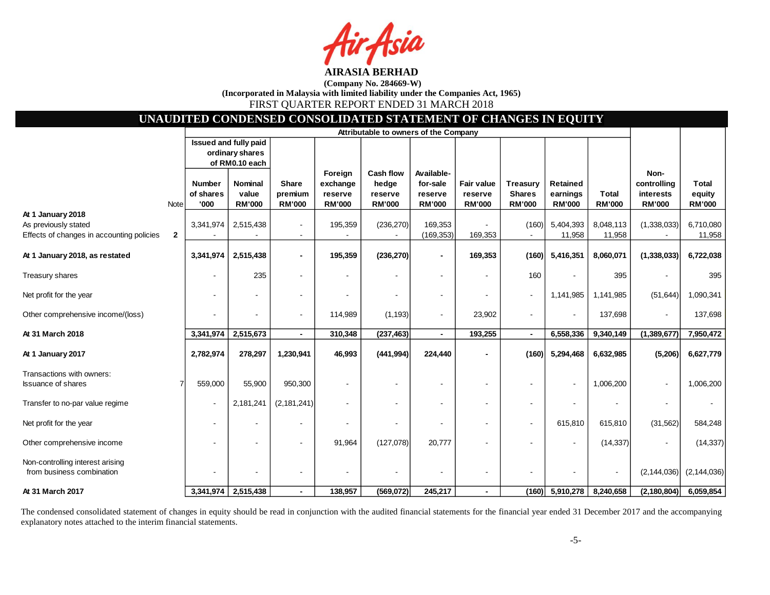sia

# **UNAUDITED CONDENSED CONSOLIDATED STATEMENT OF CHANGES IN EQUITY**

|                                                               |              | Attributable to owners of the Company |                       |               |               |                  |                          |               |                 |                 |               |                |               |
|---------------------------------------------------------------|--------------|---------------------------------------|-----------------------|---------------|---------------|------------------|--------------------------|---------------|-----------------|-----------------|---------------|----------------|---------------|
|                                                               |              |                                       | Issued and fully paid |               |               |                  |                          |               |                 |                 |               |                |               |
|                                                               |              |                                       | ordinary shares       |               |               |                  |                          |               |                 |                 |               |                |               |
|                                                               |              |                                       | of RM0.10 each        |               |               |                  |                          |               |                 |                 |               |                |               |
|                                                               |              |                                       |                       |               | Foreign       | <b>Cash flow</b> | Available-               |               |                 |                 |               | Non-           |               |
|                                                               |              | <b>Number</b>                         | <b>Nominal</b>        | <b>Share</b>  | exchange      | hedge            | for-sale                 | Fair value    | <b>Treasury</b> | <b>Retained</b> |               | controlling    | <b>Total</b>  |
|                                                               |              | of shares                             | value                 | premium       | reserve       | reserve          | reserve                  | reserve       | <b>Shares</b>   | earnings        | <b>Total</b>  | interests      | equity        |
|                                                               | Note         | '000                                  | <b>RM'000</b>         | <b>RM'000</b> | <b>RM'000</b> | <b>RM'000</b>    | <b>RM'000</b>            | <b>RM'000</b> | <b>RM'000</b>   | <b>RM'000</b>   | <b>RM'000</b> | <b>RM'000</b>  | <b>RM'000</b> |
| At 1 January 2018                                             |              |                                       |                       |               |               |                  |                          |               |                 |                 |               |                |               |
| As previously stated                                          |              | 3,341,974                             | 2,515,438             |               | 195,359       | (236, 270)       | 169,353                  |               | (160)           | 5,404,393       | 8,048,113     | (1,338,033)    | 6,710,080     |
| Effects of changes in accounting policies                     | $\mathbf{2}$ |                                       |                       |               |               |                  | (169, 353)               | 169,353       |                 | 11,958          | 11,958        |                | 11,958        |
| At 1 January 2018, as restated                                |              | 3,341,974                             | 2,515,438             |               | 195,359       | (236, 270)       | $\blacksquare$           | 169,353       | (160)           | 5,416,351       | 8,060,071     | (1, 338, 033)  | 6,722,038     |
| Treasury shares                                               |              |                                       | 235                   |               |               |                  |                          |               | 160             |                 | 395           |                | 395           |
| Net profit for the year                                       |              |                                       |                       |               |               |                  |                          |               | $\blacksquare$  | 1,141,985       | 1,141,985     | (51, 644)      | 1,090,341     |
| Other comprehensive income/(loss)                             |              |                                       |                       |               | 114,989       | (1, 193)         | $\overline{\phantom{a}}$ | 23,902        |                 | $\blacksquare$  | 137,698       |                | 137,698       |
| At 31 March 2018                                              |              | 3,341,974                             | 2,515,673             |               | 310,348       | (237, 463)       | $\blacksquare$           | 193,255       | $\blacksquare$  | 6,558,336       | 9,340,149     | (1,389,677)    | 7,950,472     |
|                                                               |              |                                       |                       |               |               |                  |                          |               |                 |                 |               |                |               |
| At 1 January 2017                                             |              | 2,782,974                             | 278,297               | 1,230,941     | 46,993        | (441, 994)       | 224,440                  |               | (160)           | 5,294,468       | 6,632,985     | (5, 206)       | 6,627,779     |
|                                                               |              |                                       |                       |               |               |                  |                          |               |                 |                 |               |                |               |
| Transactions with owners:<br><b>Issuance of shares</b>        |              | 559,000                               | 55,900                | 950,300       |               |                  |                          |               |                 |                 | 1,006,200     | $\blacksquare$ | 1,006,200     |
| Transfer to no-par value regime                               |              | $\overline{\phantom{a}}$              | 2,181,241             | (2, 181, 241) |               |                  |                          |               |                 |                 |               |                |               |
| Net profit for the year                                       |              |                                       |                       |               |               |                  |                          |               |                 | 615,810         | 615,810       | (31, 562)      | 584,248       |
| Other comprehensive income                                    |              |                                       |                       |               | 91,964        | (127,078)        | 20,777                   |               |                 |                 | (14, 337)     |                | (14, 337)     |
| Non-controlling interest arising<br>from business combination |              |                                       |                       |               |               |                  |                          |               |                 |                 |               | (2, 144, 036)  | (2, 144, 036) |
| At 31 March 2017                                              |              | 3,341,974                             | 2,515,438             |               | 138,957       | (569,072)        | 245,217                  |               | (160)           | 5,910,278       | 8,240,658     | (2, 180, 804)  | 6,059,854     |

The condensed consolidated statement of changes in equity should be read in conjunction with the audited financial statements for the financial year ended 31 December 2017 and the accompanying explanatory notes attached to the interim financial statements.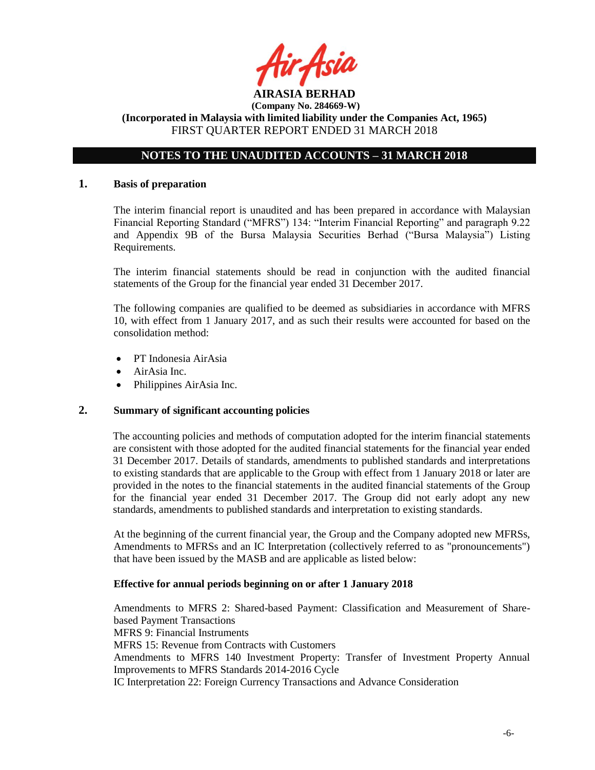

# **NOTES TO THE UNAUDITED ACCOUNTS – 31 MARCH 2018**

#### **1. Basis of preparation**

The interim financial report is unaudited and has been prepared in accordance with Malaysian Financial Reporting Standard ("MFRS") 134: "Interim Financial Reporting" and paragraph 9.22 and Appendix 9B of the Bursa Malaysia Securities Berhad ("Bursa Malaysia") Listing Requirements.

The interim financial statements should be read in conjunction with the audited financial statements of the Group for the financial year ended 31 December 2017.

The following companies are qualified to be deemed as subsidiaries in accordance with MFRS 10, with effect from 1 January 2017, and as such their results were accounted for based on the consolidation method:

- PT Indonesia AirAsia
- AirAsia Inc.
- Philippines AirAsia Inc.

# **2. Summary of significant accounting policies**

The accounting policies and methods of computation adopted for the interim financial statements are consistent with those adopted for the audited financial statements for the financial year ended 31 December 2017. Details of standards, amendments to published standards and interpretations to existing standards that are applicable to the Group with effect from 1 January 2018 or later are provided in the notes to the financial statements in the audited financial statements of the Group for the financial year ended 31 December 2017. The Group did not early adopt any new standards, amendments to published standards and interpretation to existing standards.

At the beginning of the current financial year, the Group and the Company adopted new MFRSs, Amendments to MFRSs and an IC Interpretation (collectively referred to as "pronouncements") that have been issued by the MASB and are applicable as listed below:

#### **Effective for annual periods beginning on or after 1 January 2018**

Amendments to MFRS 2: Shared-based Payment: Classification and Measurement of Sharebased Payment Transactions MFRS 9: Financial Instruments MFRS 15: Revenue from Contracts with Customers Amendments to MFRS 140 Investment Property: Transfer of Investment Property Annual Improvements to MFRS Standards 2014-2016 Cycle IC Interpretation 22: Foreign Currency Transactions and Advance Consideration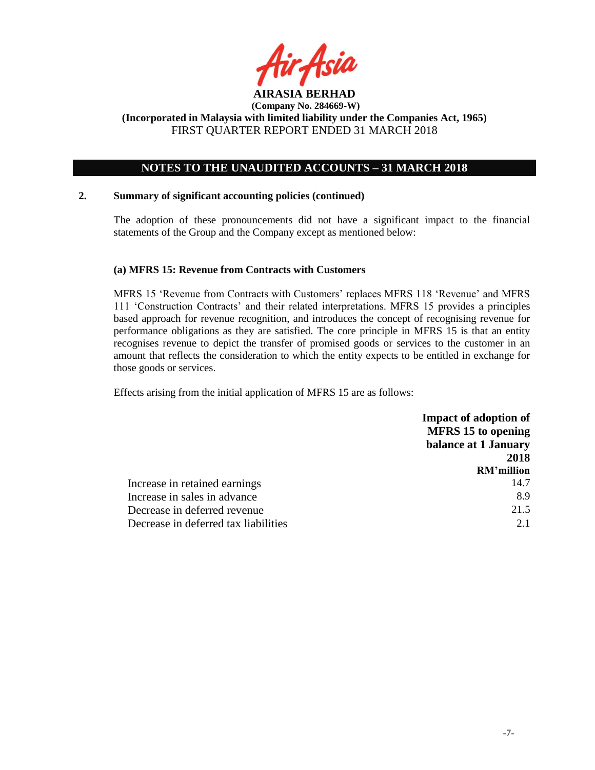

# **NOTES TO THE UNAUDITED ACCOUNTS – 31 MARCH 2018**

### **2. Summary of significant accounting policies (continued)**

The adoption of these pronouncements did not have a significant impact to the financial statements of the Group and the Company except as mentioned below:

# **(a) MFRS 15: Revenue from Contracts with Customers**

MFRS 15 'Revenue from Contracts with Customers' replaces MFRS 118 'Revenue' and MFRS 111 'Construction Contracts' and their related interpretations. MFRS 15 provides a principles based approach for revenue recognition, and introduces the concept of recognising revenue for performance obligations as they are satisfied. The core principle in MFRS 15 is that an entity recognises revenue to depict the transfer of promised goods or services to the customer in an amount that reflects the consideration to which the entity expects to be entitled in exchange for those goods or services.

Effects arising from the initial application of MFRS 15 are as follows:

|                                      | <b>Impact of adoption of</b> |
|--------------------------------------|------------------------------|
|                                      | <b>MFRS</b> 15 to opening    |
|                                      | balance at 1 January         |
|                                      | 2018                         |
|                                      | <b>RM'million</b>            |
| Increase in retained earnings        | 14.7                         |
| Increase in sales in advance         | 8.9                          |
| Decrease in deferred revenue         | 21.5                         |
| Decrease in deferred tax liabilities | 2.1                          |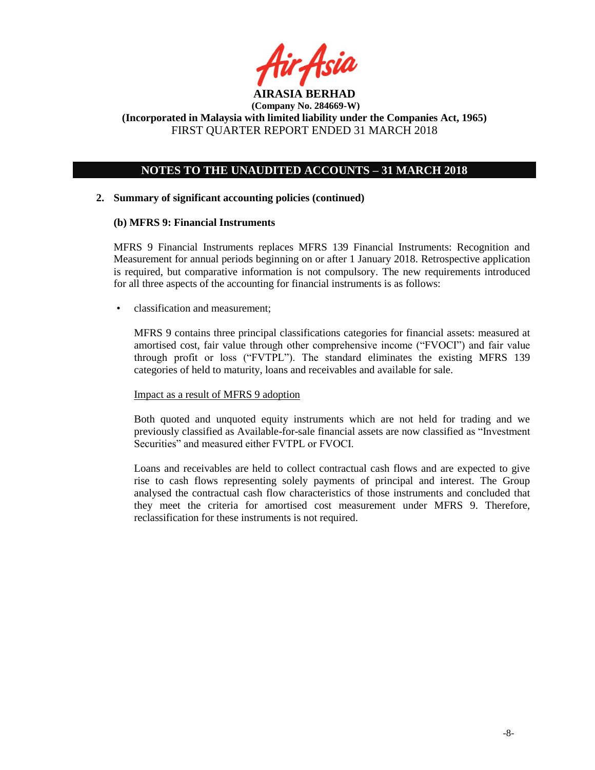

# **NOTES TO THE UNAUDITED ACCOUNTS – 31 MARCH 2018**

# **2. Summary of significant accounting policies (continued)**

### **(b) MFRS 9: Financial Instruments**

MFRS 9 Financial Instruments replaces MFRS 139 Financial Instruments: Recognition and Measurement for annual periods beginning on or after 1 January 2018. Retrospective application is required, but comparative information is not compulsory. The new requirements introduced for all three aspects of the accounting for financial instruments is as follows:

• classification and measurement;

MFRS 9 contains three principal classifications categories for financial assets: measured at amortised cost, fair value through other comprehensive income ("FVOCI") and fair value through profit or loss ("FVTPL"). The standard eliminates the existing MFRS 139 categories of held to maturity, loans and receivables and available for sale.

#### Impact as a result of MFRS 9 adoption

Both quoted and unquoted equity instruments which are not held for trading and we previously classified as Available-for-sale financial assets are now classified as "Investment Securities" and measured either FVTPL or FVOCI.

Loans and receivables are held to collect contractual cash flows and are expected to give rise to cash flows representing solely payments of principal and interest. The Group analysed the contractual cash flow characteristics of those instruments and concluded that they meet the criteria for amortised cost measurement under MFRS 9. Therefore, reclassification for these instruments is not required.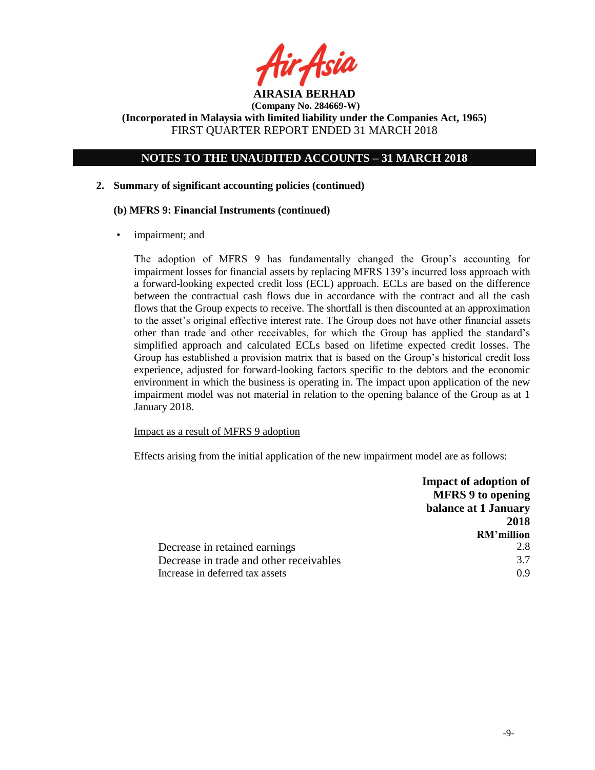

# **NOTES TO THE UNAUDITED ACCOUNTS – 31 MARCH 2018**

# **2. Summary of significant accounting policies (continued)**

### **(b) MFRS 9: Financial Instruments (continued)**

impairment; and

The adoption of MFRS 9 has fundamentally changed the Group's accounting for impairment losses for financial assets by replacing MFRS 139's incurred loss approach with a forward-looking expected credit loss (ECL) approach. ECLs are based on the difference between the contractual cash flows due in accordance with the contract and all the cash flows that the Group expects to receive. The shortfall is then discounted at an approximation to the asset's original effective interest rate. The Group does not have other financial assets other than trade and other receivables, for which the Group has applied the standard's simplified approach and calculated ECLs based on lifetime expected credit losses. The Group has established a provision matrix that is based on the Group's historical credit loss experience, adjusted for forward-looking factors specific to the debtors and the economic environment in which the business is operating in. The impact upon application of the new impairment model was not material in relation to the opening balance of the Group as at 1 January 2018.

# Impact as a result of MFRS 9 adoption

Effects arising from the initial application of the new impairment model are as follows:

|                                         | <b>Impact of adoption of</b><br><b>MFRS 9 to opening</b> |
|-----------------------------------------|----------------------------------------------------------|
|                                         | balance at 1 January                                     |
|                                         | 2018                                                     |
|                                         | <b>RM'million</b>                                        |
| Decrease in retained earnings           | 2.8                                                      |
| Decrease in trade and other receivables | 3.7                                                      |
| Increase in deferred tax assets         | 09                                                       |
|                                         |                                                          |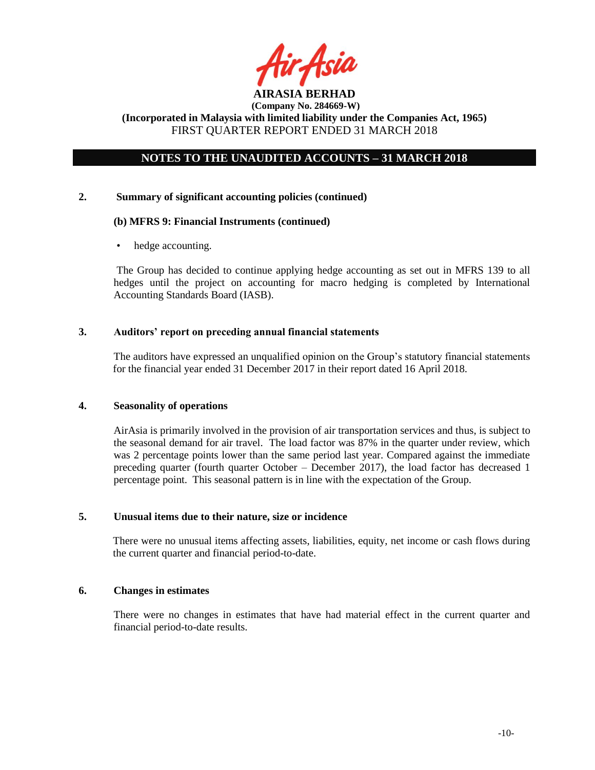

# **NOTES TO THE UNAUDITED ACCOUNTS – 31 MARCH 2018**

### **2. Summary of significant accounting policies (continued)**

### **(b) MFRS 9: Financial Instruments (continued)**

hedge accounting.

The Group has decided to continue applying hedge accounting as set out in MFRS 139 to all hedges until the project on accounting for macro hedging is completed by International Accounting Standards Board (IASB).

# **3. Auditors' report on preceding annual financial statements**

The auditors have expressed an unqualified opinion on the Group's statutory financial statements for the financial year ended 31 December 2017 in their report dated 16 April 2018.

# **4. Seasonality of operations**

AirAsia is primarily involved in the provision of air transportation services and thus, is subject to the seasonal demand for air travel. The load factor was 87% in the quarter under review, which was 2 percentage points lower than the same period last year. Compared against the immediate preceding quarter (fourth quarter October – December 2017), the load factor has decreased 1 percentage point. This seasonal pattern is in line with the expectation of the Group.

#### **5. Unusual items due to their nature, size or incidence**

There were no unusual items affecting assets, liabilities, equity, net income or cash flows during the current quarter and financial period-to-date.

### **6. Changes in estimates**

There were no changes in estimates that have had material effect in the current quarter and financial period-to-date results.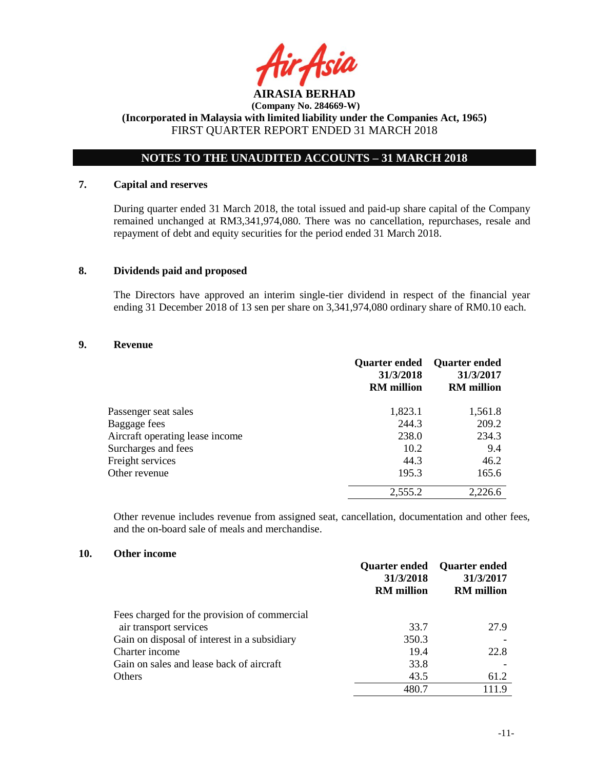

# **NOTES TO THE UNAUDITED ACCOUNTS – 31 MARCH 2018**

# **7. Capital and reserves**

During quarter ended 31 March 2018, the total issued and paid-up share capital of the Company remained unchanged at RM3,341,974,080. There was no cancellation, repurchases, resale and repayment of debt and equity securities for the period ended 31 March 2018.

### **8. Dividends paid and proposed**

The Directors have approved an interim single-tier dividend in respect of the financial year ending 31 December 2018 of 13 sen per share on 3,341,974,080 ordinary share of RM0.10 each.

#### **9. Revenue**

|                                 | <b>Quarter ended</b><br>31/3/2018<br><b>RM</b> million | <b>Quarter ended</b><br>31/3/2017<br><b>RM</b> million |
|---------------------------------|--------------------------------------------------------|--------------------------------------------------------|
| Passenger seat sales            | 1,823.1                                                | 1,561.8                                                |
| Baggage fees                    | 244.3                                                  | 209.2                                                  |
| Aircraft operating lease income | 238.0                                                  | 234.3                                                  |
| Surcharges and fees             | 10.2                                                   | 9.4                                                    |
| Freight services                | 44.3                                                   | 46.2                                                   |
| Other revenue                   | 195.3                                                  | 165.6                                                  |
|                                 | 2,555.2                                                | 2,226.6                                                |

Other revenue includes revenue from assigned seat, cancellation, documentation and other fees, and the on-board sale of meals and merchandise.

#### **10. Other income**

|                                              | <b>Quarter ended</b><br>31/3/2018<br><b>RM</b> million | <b>Quarter ended</b><br>31/3/2017<br><b>RM</b> million |
|----------------------------------------------|--------------------------------------------------------|--------------------------------------------------------|
| Fees charged for the provision of commercial |                                                        |                                                        |
| air transport services                       | 33.7                                                   | 27.9                                                   |
| Gain on disposal of interest in a subsidiary | 350.3                                                  |                                                        |
| Charter income                               | 19.4                                                   | 22.8                                                   |
| Gain on sales and lease back of aircraft     | 33.8                                                   |                                                        |
| <b>Others</b>                                | 43.5                                                   | 61.2                                                   |
|                                              | 480.7                                                  |                                                        |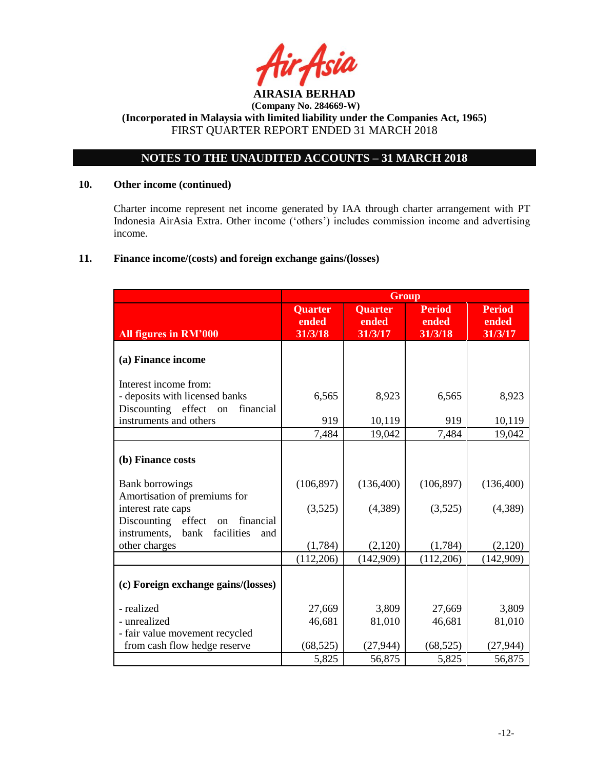

# **NOTES TO THE UNAUDITED ACCOUNTS – 31 MARCH 2018**

# **10. Other income (continued)**

Charter income represent net income generated by IAA through charter arrangement with PT Indonesia AirAsia Extra. Other income ('others') includes commission income and advertising income.

# **11. Finance income/(costs) and foreign exchange gains/(losses)**

|                                                                                                             | <b>Group</b>                       |                                    |                                   |                                   |  |  |  |  |
|-------------------------------------------------------------------------------------------------------------|------------------------------------|------------------------------------|-----------------------------------|-----------------------------------|--|--|--|--|
| All figures in RM'000                                                                                       | <b>Quarter</b><br>ended<br>31/3/18 | <b>Quarter</b><br>ended<br>31/3/17 | <b>Period</b><br>ended<br>31/3/18 | <b>Period</b><br>ended<br>31/3/17 |  |  |  |  |
| (a) Finance income                                                                                          |                                    |                                    |                                   |                                   |  |  |  |  |
| Interest income from:                                                                                       |                                    |                                    |                                   |                                   |  |  |  |  |
| - deposits with licensed banks                                                                              | 6,565                              | 8,923                              | 6,565                             | 8,923                             |  |  |  |  |
| Discounting effect on<br>financial                                                                          |                                    |                                    |                                   |                                   |  |  |  |  |
| instruments and others                                                                                      | 919                                | 10,119                             | 919                               | 10,119                            |  |  |  |  |
|                                                                                                             | 7,484                              | 19,042                             | 7,484                             | 19,042                            |  |  |  |  |
| (b) Finance costs                                                                                           |                                    |                                    |                                   |                                   |  |  |  |  |
| <b>Bank borrowings</b><br>Amortisation of premiums for                                                      | (106, 897)                         | (136,400)                          | (106, 897)                        | (136,400)                         |  |  |  |  |
| interest rate caps<br>effect<br>Discounting<br>financial<br>on<br>instruments,<br>facilities<br>bank<br>and | (3,525)                            | (4,389)                            | (3,525)                           | (4,389)                           |  |  |  |  |
| other charges                                                                                               | (1,784)                            | (2,120)                            | (1,784)                           | (2,120)                           |  |  |  |  |
|                                                                                                             | (112,206)                          | (142,909)                          | (112,206)                         | (142,909)                         |  |  |  |  |
| (c) Foreign exchange gains/(losses)                                                                         |                                    |                                    |                                   |                                   |  |  |  |  |
| - realized                                                                                                  | 27,669                             | 3,809                              | 27,669                            | 3,809                             |  |  |  |  |
| - unrealized                                                                                                | 46,681                             | 81,010                             | 46,681                            | 81,010                            |  |  |  |  |
| - fair value movement recycled                                                                              |                                    |                                    |                                   |                                   |  |  |  |  |
| from cash flow hedge reserve                                                                                | (68, 525)                          | (27, 944)                          | (68, 525)                         | (27, 944)                         |  |  |  |  |
|                                                                                                             | 5,825                              | 56,875                             | 5,825                             | 56,875                            |  |  |  |  |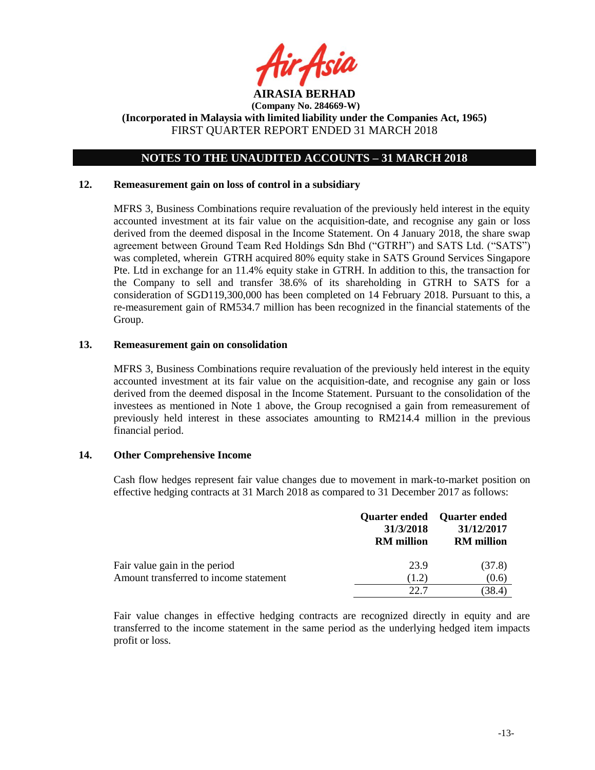

# **NOTES TO THE UNAUDITED ACCOUNTS – 31 MARCH 2018**

### **12. Remeasurement gain on loss of control in a subsidiary**

MFRS 3, Business Combinations require revaluation of the previously held interest in the equity accounted investment at its fair value on the acquisition-date, and recognise any gain or loss derived from the deemed disposal in the Income Statement. On 4 January 2018, the share swap agreement between Ground Team Red Holdings Sdn Bhd ("GTRH") and SATS Ltd. ("SATS") was completed, wherein GTRH acquired 80% equity stake in SATS Ground Services Singapore Pte. Ltd in exchange for an 11.4% equity stake in GTRH. In addition to this, the transaction for the Company to sell and transfer 38.6% of its shareholding in GTRH to SATS for a consideration of SGD119,300,000 has been completed on 14 February 2018. Pursuant to this, a re-measurement gain of RM534.7 million has been recognized in the financial statements of the Group.

### **13. Remeasurement gain on consolidation**

MFRS 3, Business Combinations require revaluation of the previously held interest in the equity accounted investment at its fair value on the acquisition-date, and recognise any gain or loss derived from the deemed disposal in the Income Statement. Pursuant to the consolidation of the investees as mentioned in Note 1 above, the Group recognised a gain from remeasurement of previously held interest in these associates amounting to RM214.4 million in the previous financial period.

# **14. Other Comprehensive Income**

Cash flow hedges represent fair value changes due to movement in mark-to-market position on effective hedging contracts at 31 March 2018 as compared to 31 December 2017 as follows:

|                                        | 31/3/2018<br><b>RM</b> million | <b>Quarter ended</b> Quarter ended<br>31/12/2017<br><b>RM</b> million |
|----------------------------------------|--------------------------------|-----------------------------------------------------------------------|
| Fair value gain in the period          | 23.9                           | (37.8)                                                                |
| Amount transferred to income statement | (1.2)                          | (0.6)                                                                 |
|                                        | 22.7                           | (38.4)                                                                |

Fair value changes in effective hedging contracts are recognized directly in equity and are transferred to the income statement in the same period as the underlying hedged item impacts profit or loss.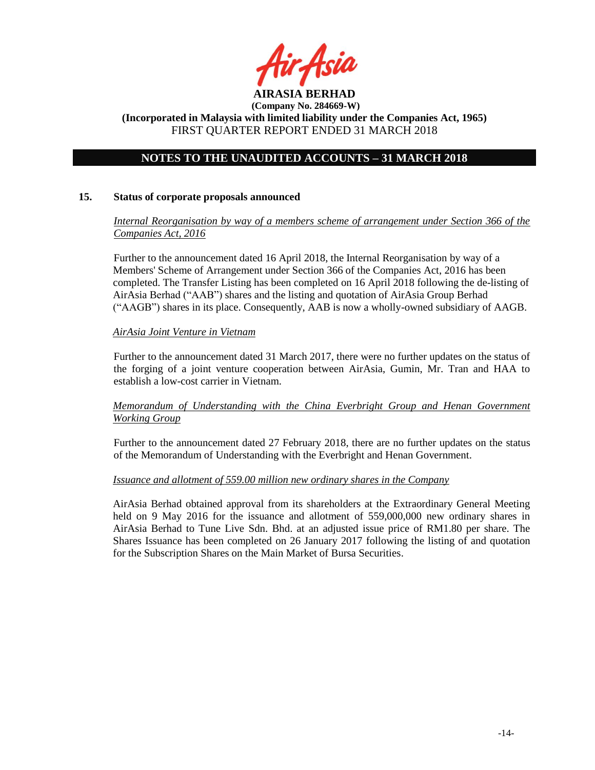

# **NOTES TO THE UNAUDITED ACCOUNTS – 31 MARCH 2018**

### **15. Status of corporate proposals announced**

# *Internal Reorganisation by way of a members scheme of arrangement under Section 366 of the Companies Act, 2016*

Further to the announcement dated 16 April 2018, the Internal Reorganisation by way of a Members' Scheme of Arrangement under Section 366 of the Companies Act, 2016 has been completed. The Transfer Listing has been completed on 16 April 2018 following the de-listing of AirAsia Berhad ("AAB") shares and the listing and quotation of AirAsia Group Berhad ("AAGB") shares in its place. Consequently, AAB is now a wholly-owned subsidiary of AAGB.

### *AirAsia Joint Venture in Vietnam*

Further to the announcement dated 31 March 2017, there were no further updates on the status of the forging of a joint venture cooperation between AirAsia, Gumin, Mr. Tran and HAA to establish a low-cost carrier in Vietnam.

# *Memorandum of Understanding with the China Everbright Group and Henan Government Working Group*

Further to the announcement dated 27 February 2018, there are no further updates on the status of the Memorandum of Understanding with the Everbright and Henan Government.

#### *Issuance and allotment of 559.00 million new ordinary shares in the Company*

AirAsia Berhad obtained approval from its shareholders at the Extraordinary General Meeting held on 9 May 2016 for the issuance and allotment of 559,000,000 new ordinary shares in AirAsia Berhad to Tune Live Sdn. Bhd. at an adjusted issue price of RM1.80 per share. The Shares Issuance has been completed on 26 January 2017 following the listing of and quotation for the Subscription Shares on the Main Market of Bursa Securities.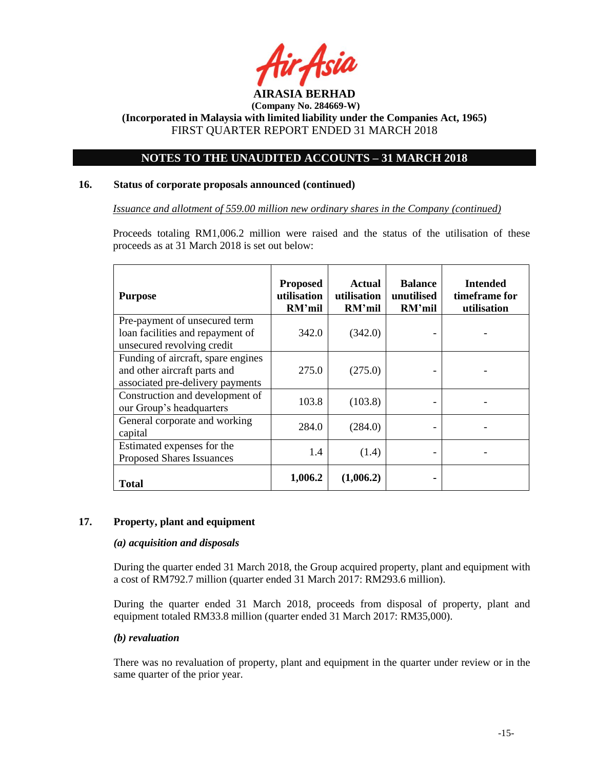

# **NOTES TO THE UNAUDITED ACCOUNTS – 31 MARCH 2018**

# **16. Status of corporate proposals announced (continued)**

*Issuance and allotment of 559.00 million new ordinary shares in the Company (continued)*

Proceeds totaling RM1,006.2 million were raised and the status of the utilisation of these proceeds as at 31 March 2018 is set out below:

| <b>Purpose</b>                                                                                         | <b>Proposed</b><br>utilisation<br>RM'mil | <b>Actual</b><br>utilisation<br>RM'mil | <b>Balance</b><br>unutilised<br>RM'mil | <b>Intended</b><br>timeframe for<br>utilisation |
|--------------------------------------------------------------------------------------------------------|------------------------------------------|----------------------------------------|----------------------------------------|-------------------------------------------------|
| Pre-payment of unsecured term<br>loan facilities and repayment of<br>unsecured revolving credit        | 342.0                                    | (342.0)                                |                                        |                                                 |
| Funding of aircraft, spare engines<br>and other aircraft parts and<br>associated pre-delivery payments | 275.0                                    | (275.0)                                |                                        |                                                 |
| Construction and development of<br>our Group's headquarters                                            | 103.8                                    | (103.8)                                |                                        |                                                 |
| General corporate and working<br>capital                                                               | 284.0                                    | (284.0)                                |                                        |                                                 |
| Estimated expenses for the<br><b>Proposed Shares Issuances</b>                                         | 1.4                                      | (1.4)                                  |                                        |                                                 |
| Total                                                                                                  | 1,006.2                                  | (1,006.2)                              |                                        |                                                 |

#### **17. Property, plant and equipment**

#### *(a) acquisition and disposals*

During the quarter ended 31 March 2018, the Group acquired property, plant and equipment with a cost of RM792.7 million (quarter ended 31 March 2017: RM293.6 million).

During the quarter ended 31 March 2018, proceeds from disposal of property, plant and equipment totaled RM33.8 million (quarter ended 31 March 2017: RM35,000).

# *(b) revaluation*

There was no revaluation of property, plant and equipment in the quarter under review or in the same quarter of the prior year.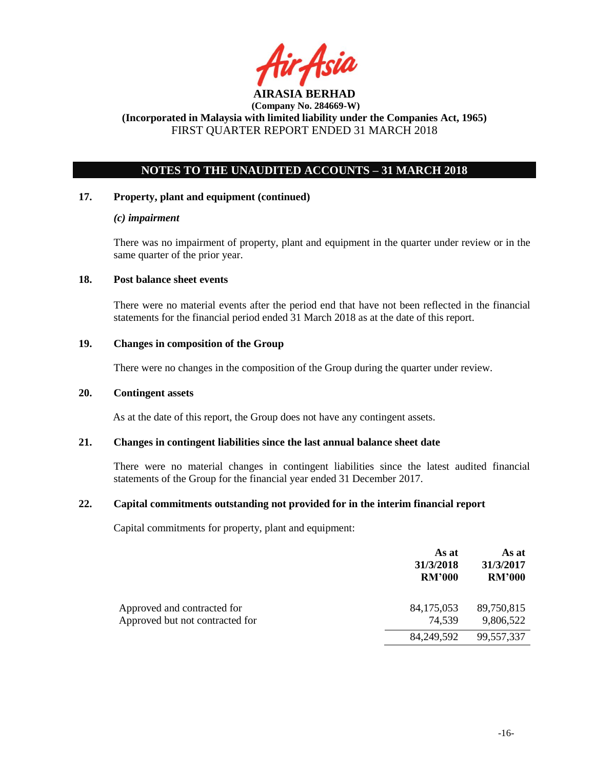

# **NOTES TO THE UNAUDITED ACCOUNTS – 31 MARCH 2018**

### **17. Property, plant and equipment (continued)**

### *(c) impairment*

There was no impairment of property, plant and equipment in the quarter under review or in the same quarter of the prior year.

### **18. Post balance sheet events**

There were no material events after the period end that have not been reflected in the financial statements for the financial period ended 31 March 2018 as at the date of this report.

# **19. Changes in composition of the Group**

There were no changes in the composition of the Group during the quarter under review.

#### **20. Contingent assets**

As at the date of this report, the Group does not have any contingent assets.

#### **21. Changes in contingent liabilities since the last annual balance sheet date**

There were no material changes in contingent liabilities since the latest audited financial statements of the Group for the financial year ended 31 December 2017.

#### **22. Capital commitments outstanding not provided for in the interim financial report**

Capital commitments for property, plant and equipment:

|                                                                | As at<br>31/3/2018<br><b>RM'000</b> | As at<br>31/3/2017<br><b>RM'000</b> |
|----------------------------------------------------------------|-------------------------------------|-------------------------------------|
| Approved and contracted for<br>Approved but not contracted for | 84,175,053<br>74,539                | 89,750,815<br>9,806,522             |
|                                                                | 84, 249, 592                        | 99,557,337                          |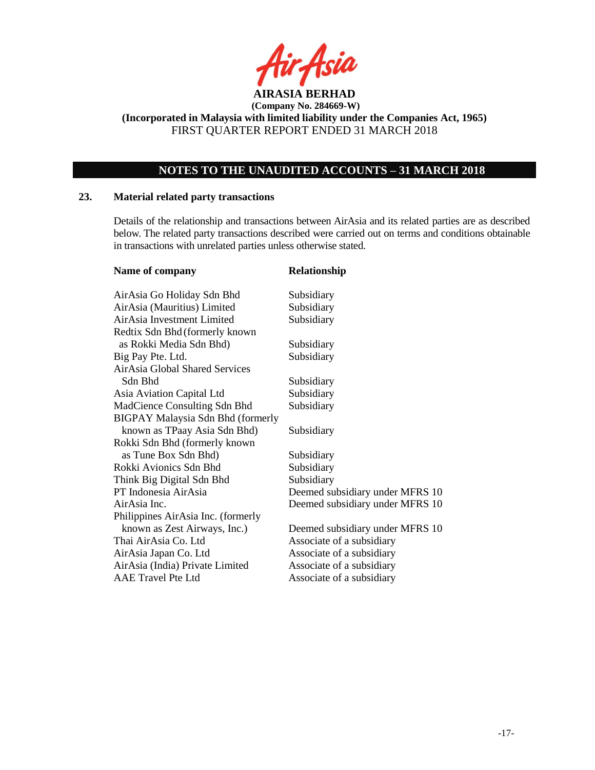

# **NOTES TO THE UNAUDITED ACCOUNTS – 31 MARCH 2018**

# **23. Material related party transactions**

Details of the relationship and transactions between AirAsia and its related parties are as described below. The related party transactions described were carried out on terms and conditions obtainable in transactions with unrelated parties unless otherwise stated.

| Name of company                          | Relationship                    |
|------------------------------------------|---------------------------------|
| AirAsia Go Holiday Sdn Bhd               | Subsidiary                      |
| AirAsia (Mauritius) Limited              | Subsidiary                      |
| AirAsia Investment Limited               | Subsidiary                      |
| Redtix Sdn Bhd (formerly known           |                                 |
| as Rokki Media Sdn Bhd)                  | Subsidiary                      |
| Big Pay Pte. Ltd.                        | Subsidiary                      |
| AirAsia Global Shared Services           |                                 |
| Sdn Bhd                                  | Subsidiary                      |
| Asia Aviation Capital Ltd                | Subsidiary                      |
| MadCience Consulting Sdn Bhd             | Subsidiary                      |
| <b>BIGPAY Malaysia Sdn Bhd (formerly</b> |                                 |
| known as TPaay Asia Sdn Bhd)             | Subsidiary                      |
| Rokki Sdn Bhd (formerly known            |                                 |
| as Tune Box Sdn Bhd)                     | Subsidiary                      |
| Rokki Avionics Sdn Bhd                   | Subsidiary                      |
| Think Big Digital Sdn Bhd                | Subsidiary                      |
| PT Indonesia AirAsia                     | Deemed subsidiary under MFRS 10 |
| AirAsia Inc.                             | Deemed subsidiary under MFRS 10 |
| Philippines AirAsia Inc. (formerly       |                                 |
| known as Zest Airways, Inc.)             | Deemed subsidiary under MFRS 10 |
| Thai AirAsia Co. Ltd                     | Associate of a subsidiary       |
| AirAsia Japan Co. Ltd                    | Associate of a subsidiary       |
| AirAsia (India) Private Limited          | Associate of a subsidiary       |
| <b>AAE Travel Pte Ltd</b>                | Associate of a subsidiary       |
|                                          |                                 |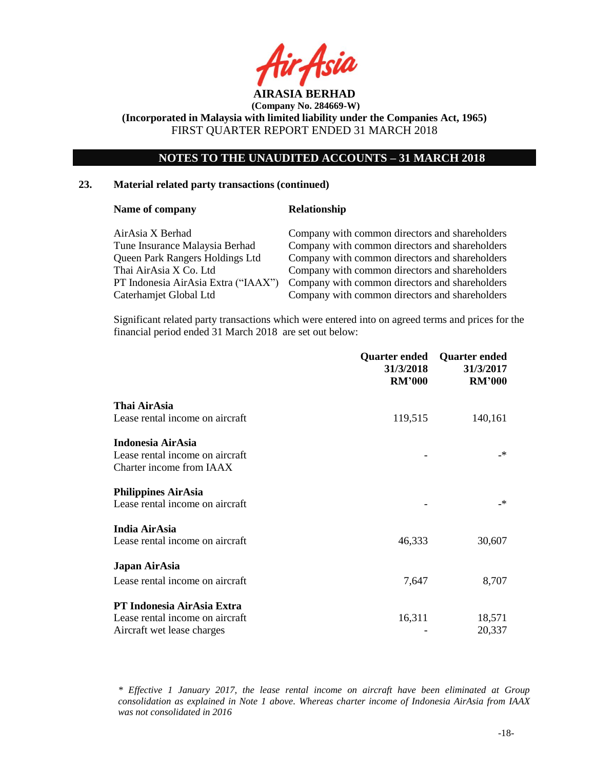

# **NOTES TO THE UNAUDITED ACCOUNTS – 31 MARCH 2018**

# **23. Material related party transactions (continued)**

#### **Name of company <b>Relationship**

| AirAsia X Berhad                    | Company with common directors and shareholders |
|-------------------------------------|------------------------------------------------|
| Tune Insurance Malaysia Berhad      | Company with common directors and shareholders |
| Queen Park Rangers Holdings Ltd     | Company with common directors and shareholders |
| Thai AirAsia X Co. Ltd              | Company with common directors and shareholders |
| PT Indonesia AirAsia Extra ("IAAX") | Company with common directors and shareholders |
| Caterhamjet Global Ltd              | Company with common directors and shareholders |
|                                     |                                                |

Significant related party transactions which were entered into on agreed terms and prices for the financial period ended 31 March 2018 are set out below:

| <b>RM'000</b> | <b>Quarter ended</b><br>31/3/2017<br><b>RM'000</b> |
|---------------|----------------------------------------------------|
|               |                                                    |
| 119,515       | 140,161                                            |
|               |                                                    |
|               | _*                                                 |
|               |                                                    |
|               |                                                    |
|               | $\mathbf{r}$                                       |
|               |                                                    |
| 46,333        | 30,607                                             |
|               |                                                    |
| 7,647         | 8,707                                              |
|               |                                                    |
|               | 18,571                                             |
|               | 20,337                                             |
|               | Quarter ended<br>31/3/2018<br>16,311               |

*\* Effective 1 January 2017, the lease rental income on aircraft have been eliminated at Group consolidation as explained in Note 1 above. Whereas charter income of Indonesia AirAsia from IAAX was not consolidated in 2016*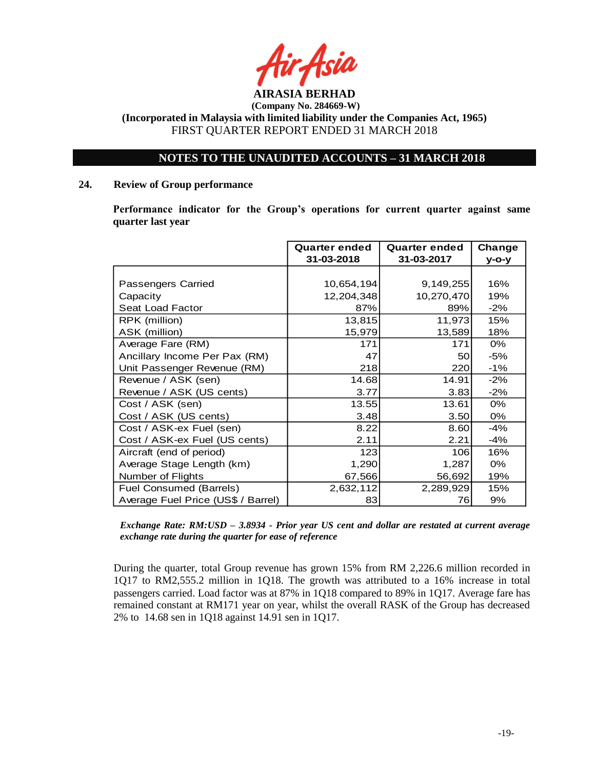

# **NOTES TO THE UNAUDITED ACCOUNTS – 31 MARCH 2018**

# **24. Review of Group performance**

**Performance indicator for the Group's operations for current quarter against same quarter last year**

|                                    | <b>Quarter ended</b><br>31-03-2018 | <b>Quarter ended</b><br>31-03-2017 | Change<br>$V$ -O-V |
|------------------------------------|------------------------------------|------------------------------------|--------------------|
|                                    |                                    |                                    |                    |
| Passengers Carried                 | 10,654,194                         | 9,149,255                          | 16%                |
| Capacity                           | 12,204,348                         | 10,270,470                         | 19%                |
| Seat Load Factor                   | 87%                                | 89%                                | $-2\%$             |
| RPK (million)                      | 13,815                             | 11,973                             | 15%                |
| ASK (million)                      | 15,979                             | 13,589                             | 18%                |
| Average Fare (RM)                  | 171                                | 171                                | 0%                 |
| Ancillary Income Per Pax (RM)      | 47                                 | 50                                 | $-5%$              |
| Unit Passenger Revenue (RM)        | 218                                | 220                                | $-1%$              |
| Revenue / ASK (sen)                | 14.68                              | 14.91                              | $-2%$              |
| Revenue / ASK (US cents)           | 3.77                               | 3.83                               | $-2\%$             |
| Cost / ASK (sen)                   | 13.55                              | 13.61                              | 0%                 |
| Cost / ASK (US cents)              | 3.48                               | 3.50                               | 0%                 |
| Cost / ASK-ex Fuel (sen)           | 8.22                               | 8.60                               | $-4%$              |
| Cost / ASK-ex Fuel (US cents)      | 2.11                               | 2.21                               | $-4%$              |
| Aircraft (end of period)           | 123                                | 106l                               | 16%                |
| Average Stage Length (km)          | 1,290                              | 1,287                              | 0%                 |
| Number of Flights                  | 67,566                             | 56,692                             | 19%                |
| Fuel Consumed (Barrels)            | 2,632,112                          | 2,289,929                          | 15%                |
| Average Fuel Price (US\$ / Barrel) | 83                                 | 76I                                | 9%                 |

*Exchange Rate: RM:USD – 3.8934 - Prior year US cent and dollar are restated at current average exchange rate during the quarter for ease of reference*

During the quarter, total Group revenue has grown 15% from RM 2,226.6 million recorded in 1Q17 to RM2,555.2 million in 1Q18. The growth was attributed to a 16% increase in total passengers carried. Load factor was at 87% in 1Q18 compared to 89% in 1Q17. Average fare has remained constant at RM171 year on year, whilst the overall RASK of the Group has decreased 2% to 14.68 sen in 1Q18 against 14.91 sen in 1Q17.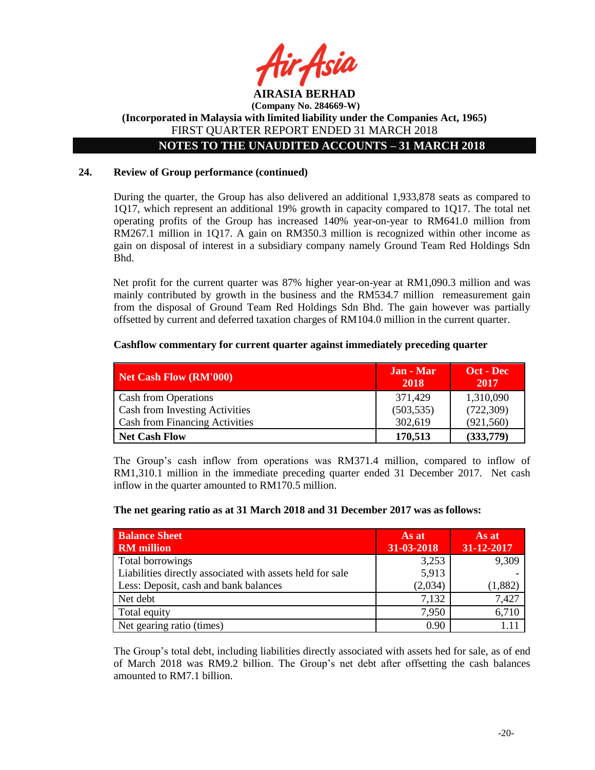

**AIRASIA BERHAD (Company No. 284669-W) (Incorporated in Malaysia with limited liability under the Companies Act, 1965)** FIRST QUARTER REPORT ENDED 31 MARCH 2018 **NOTES TO THE UNAUDITED ACCOUNTS – 31 MARCH 2018**

# **24. Review of Group performance (continued)**

During the quarter, the Group has also delivered an additional 1,933,878 seats as compared to 1Q17, which represent an additional 19% growth in capacity compared to 1Q17. The total net operating profits of the Group has increased 140% year-on-year to RM641.0 million from RM267.1 million in 1Q17. A gain on RM350.3 million is recognized within other income as gain on disposal of interest in a subsidiary company namely Ground Team Red Holdings Sdn Bhd.

Net profit for the current quarter was 87% higher year-on-year at RM1,090.3 million and was mainly contributed by growth in the business and the RM534.7 million remeasurement gain from the disposal of Ground Team Red Holdings Sdn Bhd. The gain however was partially offsetted by current and deferred taxation charges of RM104.0 million in the current quarter.

### **Cashflow commentary for current quarter against immediately preceding quarter**

| Net Cash Flow (RM'000)                | Jan - Mar<br>2018 | Oct - Dec<br>2017 |
|---------------------------------------|-------------------|-------------------|
| <b>Cash from Operations</b>           | 371,429           | 1,310,090         |
| <b>Cash from Investing Activities</b> | (503, 535)        | (722, 309)        |
| <b>Cash from Financing Activities</b> | 302,619           | (921, 560)        |
| <b>Net Cash Flow</b>                  | 170,513           | (333,779)         |

The Group's cash inflow from operations was RM371.4 million, compared to inflow of RM1,310.1 million in the immediate preceding quarter ended 31 December 2017. Net cash inflow in the quarter amounted to RM170.5 million.

#### **The net gearing ratio as at 31 March 2018 and 31 December 2017 was as follows:**

| <b>Balance Sheet</b><br><b>RM</b> million                 | As at<br>31-03-2018 | As at<br>31-12-2017 |
|-----------------------------------------------------------|---------------------|---------------------|
| Total borrowings                                          | 3,253               | 9,309               |
| Liabilities directly associated with assets held for sale | 5,913               |                     |
| Less: Deposit, cash and bank balances                     | (2,034)             | (1,882)             |
| Net debt                                                  | 7,132               | 7,427               |
| Total equity                                              | 7,950               | 6,710               |
| Net gearing ratio (times)                                 | 0.90                |                     |

The Group's total debt, including liabilities directly associated with assets hed for sale, as of end of March 2018 was RM9.2 billion. The Group's net debt after offsetting the cash balances amounted to RM7.1 billion.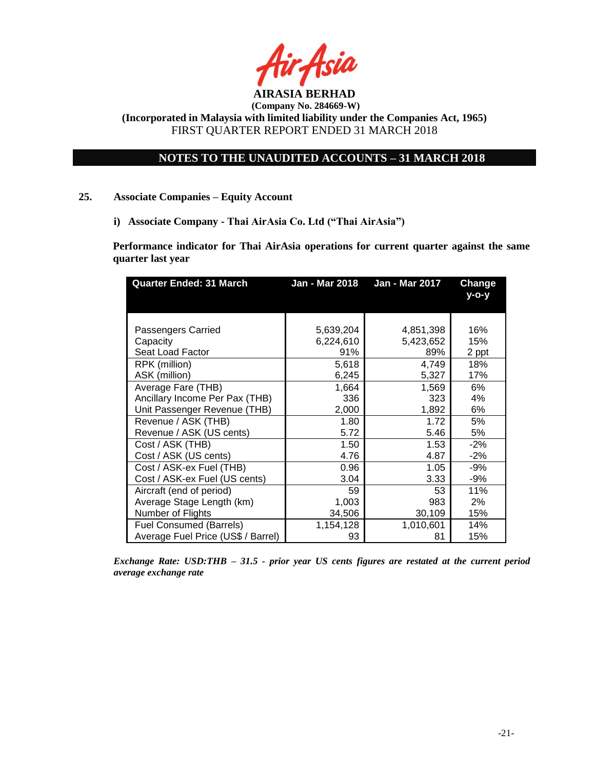

# **NOTES TO THE UNAUDITED ACCOUNTS – 31 MARCH 2018**

### **25. Associate Companies – Equity Account**

**i) Associate Company - Thai AirAsia Co. Ltd ("Thai AirAsia")**

**Performance indicator for Thai AirAsia operations for current quarter against the same quarter last year**

| <b>Quarter Ended: 31 March</b>     | <b>Jan - Mar 2018</b> | Jan - Mar 2017 | <b>Change</b><br>$V - O - V$ |
|------------------------------------|-----------------------|----------------|------------------------------|
| Passengers Carried                 | 5,639,204             | 4,851,398      | 16%                          |
| Capacity                           | 6,224,610             | 5,423,652      | 15%                          |
| Seat Load Factor                   | 91%                   | 89%            | 2 ppt                        |
| RPK (million)                      | 5,618                 | 4,749          | 18%                          |
| ASK (million)                      | 6,245                 | 5,327          | 17%                          |
| Average Fare (THB)                 | 1,664                 | 1,569          | 6%                           |
| Ancillary Income Per Pax (THB)     | 336                   | 323            | 4%                           |
| Unit Passenger Revenue (THB)       | 2,000                 | 1,892          | 6%                           |
| Revenue / ASK (THB)                | 1.80                  | 1.72           | 5%                           |
| Revenue / ASK (US cents)           | 5.72                  | 5.46           | 5%                           |
| Cost / ASK (THB)                   | 1.50                  | 1.53           | $-2%$                        |
| Cost / ASK (US cents)              | 4.76                  | 4.87           | $-2\%$                       |
| Cost / ASK-ex Fuel (THB)           | 0.96                  | 1.05           | -9%                          |
| Cost / ASK-ex Fuel (US cents)      | 3.04                  | 3.33           | -9%                          |
| Aircraft (end of period)           | 59                    | 53             | 11%                          |
| Average Stage Length (km)          | 1,003                 | 983            | 2%                           |
| Number of Flights                  | 34,506                | 30,109         | 15%                          |
| <b>Fuel Consumed (Barrels)</b>     | 1,154,128             | 1,010,601      | 14%                          |
| Average Fuel Price (US\$ / Barrel) | 93                    | 81             | 15%                          |

*Exchange Rate: USD:THB – 31.5 - prior year US cents figures are restated at the current period average exchange rate*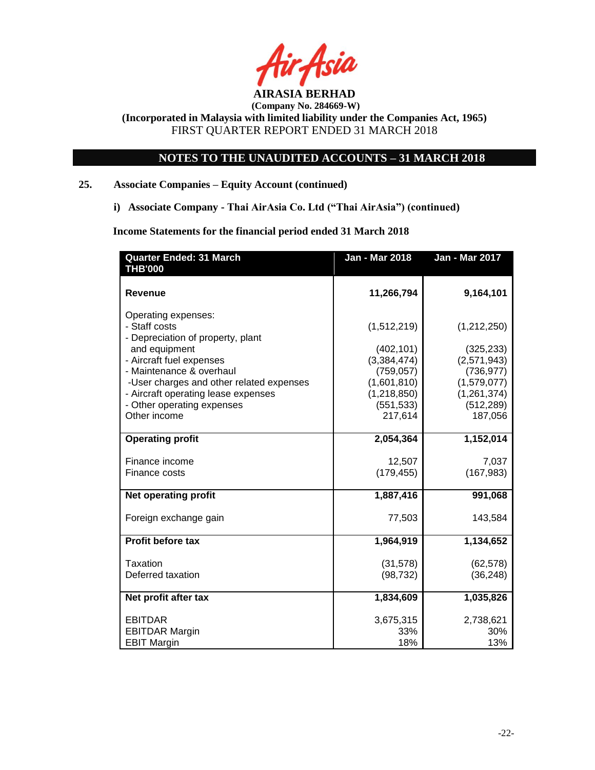

**(Company No. 284669-W)**

**(Incorporated in Malaysia with limited liability under the Companies Act, 1965)** FIRST QUARTER REPORT ENDED 31 MARCH 2018

# **NOTES TO THE UNAUDITED ACCOUNTS – 31 MARCH 2018**

# **25. Associate Companies – Equity Account (continued)**

**i) Associate Company - Thai AirAsia Co. Ltd ("Thai AirAsia") (continued)**

**Income Statements for the financial period ended 31 March 2018**

| <b>Quarter Ended: 31 March</b><br><b>THB'000</b>                  | <b>Jan - Mar 2018</b>     | <b>Jan - Mar 2017</b>       |
|-------------------------------------------------------------------|---------------------------|-----------------------------|
| <b>Revenue</b>                                                    | 11,266,794                | 9,164,101                   |
| Operating expenses:                                               |                           |                             |
| - Staff costs                                                     | (1,512,219)               | (1,212,250)                 |
| - Depreciation of property, plant                                 |                           |                             |
| and equipment                                                     | (402, 101)                | (325, 233)                  |
| - Aircraft fuel expenses                                          | (3,384,474)               | (2,571,943)                 |
| - Maintenance & overhaul                                          | (759, 057)                | (736, 977)                  |
| -User charges and other related expenses                          | (1,601,810)               | (1,579,077)                 |
| - Aircraft operating lease expenses<br>- Other operating expenses | (1,218,850)<br>(551, 533) | (1, 261, 374)<br>(512, 289) |
| Other income                                                      | 217,614                   | 187,056                     |
|                                                                   |                           |                             |
| <b>Operating profit</b>                                           | 2,054,364                 | 1,152,014                   |
| Finance income                                                    | 12,507                    | 7,037                       |
| Finance costs                                                     | (179, 455)                | (167, 983)                  |
| <b>Net operating profit</b>                                       | 1,887,416                 | 991,068                     |
|                                                                   |                           |                             |
| Foreign exchange gain                                             | 77,503                    | 143,584                     |
| <b>Profit before tax</b>                                          | 1,964,919                 | 1,134,652                   |
| Taxation                                                          | (31, 578)                 | (62, 578)                   |
| Deferred taxation                                                 | (98, 732)                 | (36, 248)                   |
|                                                                   |                           |                             |
| Net profit after tax                                              | 1,834,609                 | 1,035,826                   |
| <b>EBITDAR</b>                                                    | 3,675,315                 | 2,738,621                   |
| <b>EBITDAR Margin</b>                                             | 33%                       | 30%                         |
| <b>EBIT Margin</b>                                                | 18%                       | 13%                         |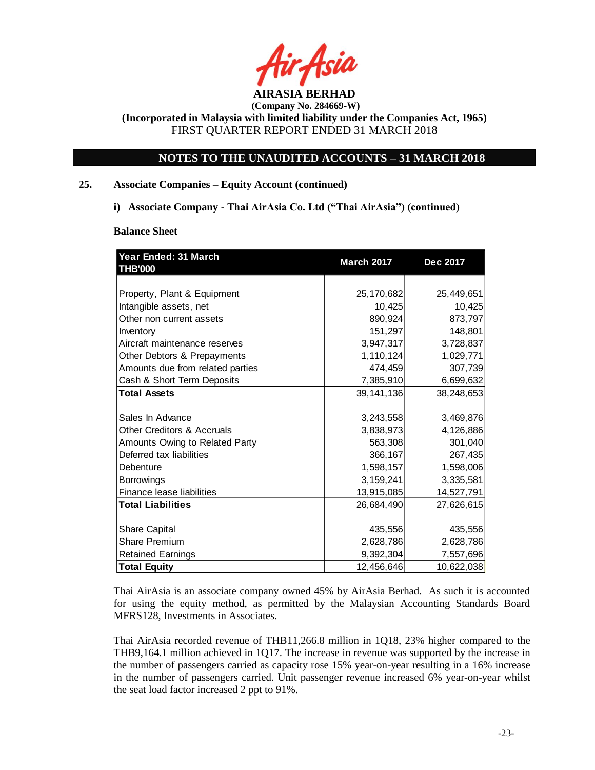

# **NOTES TO THE UNAUDITED ACCOUNTS – 31 MARCH 2018**

# **25. Associate Companies – Equity Account (continued)**

**i) Associate Company - Thai AirAsia Co. Ltd ("Thai AirAsia") (continued)**

**Balance Sheet** 

| Year Ended: 31 March<br><b>THB'000</b> | <b>March 2017</b> | Dec 2017   |
|----------------------------------------|-------------------|------------|
|                                        |                   |            |
| Property, Plant & Equipment            | 25,170,682        | 25,449,651 |
| Intangible assets, net                 | 10,425            | 10,425     |
| Other non current assets               | 890,924           | 873,797    |
| Inventory                              | 151,297           | 148,801    |
| Aircraft maintenance reserves          | 3,947,317         | 3,728,837  |
| Other Debtors & Prepayments            | 1,110,124         | 1,029,771  |
| Amounts due from related parties       | 474,459           | 307,739    |
| Cash & Short Term Deposits             | 7,385,910         | 6,699,632  |
| <b>Total Assets</b>                    | 39, 141, 136      | 38,248,653 |
|                                        |                   |            |
| Sales In Advance                       | 3,243,558         | 3,469,876  |
| <b>Other Creditors &amp; Accruals</b>  | 3,838,973         | 4,126,886  |
| Amounts Owing to Related Party         | 563,308           | 301,040    |
| Deferred tax liabilities               | 366,167           | 267,435    |
| Debenture                              | 1,598,157         | 1,598,006  |
| <b>Borrowings</b>                      | 3,159,241         | 3,335,581  |
| Finance lease liabilities              | 13,915,085        | 14,527,791 |
| <b>Total Liabilities</b>               | 26,684,490        | 27,626,615 |
|                                        |                   |            |
| Share Capital                          | 435,556           | 435,556    |
| <b>Share Premium</b>                   | 2,628,786         | 2,628,786  |
| <b>Retained Earnings</b>               | 9,392,304         | 7,557,696  |
| <b>Total Equity</b>                    | 12,456,646        | 10,622,038 |

Thai AirAsia is an associate company owned 45% by AirAsia Berhad. As such it is accounted for using the equity method, as permitted by the Malaysian Accounting Standards Board MFRS128, Investments in Associates.

Thai AirAsia recorded revenue of THB11,266.8 million in 1Q18, 23% higher compared to the THB9,164.1 million achieved in 1Q17. The increase in revenue was supported by the increase in the number of passengers carried as capacity rose 15% year-on-year resulting in a 16% increase in the number of passengers carried. Unit passenger revenue increased 6% year-on-year whilst the seat load factor increased 2 ppt to 91%.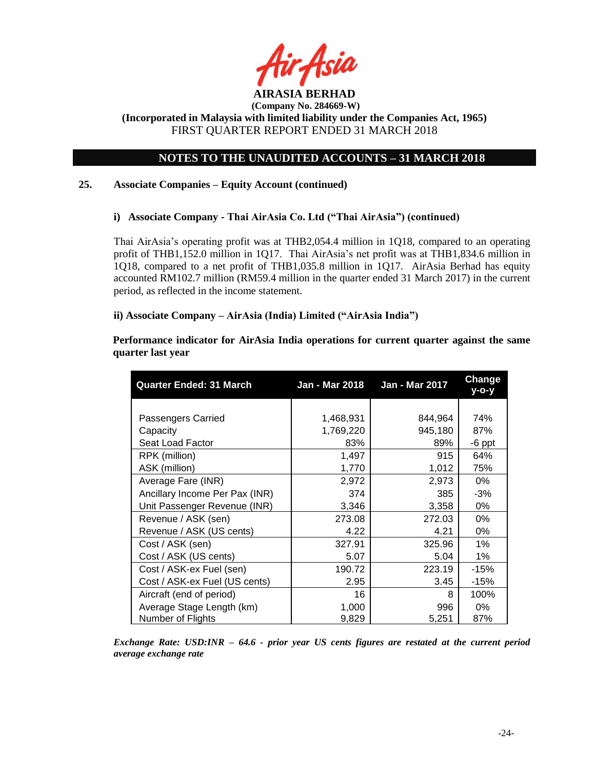

# **NOTES TO THE UNAUDITED ACCOUNTS – 31 MARCH 2018**

# **25. Associate Companies – Equity Account (continued)**

# **i) Associate Company - Thai AirAsia Co. Ltd ("Thai AirAsia") (continued)**

Thai AirAsia's operating profit was at THB2,054.4 million in 1Q18, compared to an operating profit of THB1,152.0 million in 1Q17. Thai AirAsia's net profit was at THB1,834.6 million in 1Q18, compared to a net profit of THB1,035.8 million in 1Q17. AirAsia Berhad has equity accounted RM102.7 million (RM59.4 million in the quarter ended 31 March 2017) in the current period, as reflected in the income statement.

# **ii) Associate Company – AirAsia (India) Limited ("AirAsia India")**

**Performance indicator for AirAsia India operations for current quarter against the same quarter last year**

| <b>Quarter Ended: 31 March</b> | Jan - Mar 2017<br>Jan - Mar 2018 |         | <b>Change</b><br>v-o-v |
|--------------------------------|----------------------------------|---------|------------------------|
|                                |                                  |         |                        |
| Passengers Carried             | 1,468,931                        | 844,964 | 74%                    |
| Capacity                       | 1,769,220                        | 945,180 | 87%                    |
| Seat Load Factor               | 83%                              | 89%     | -6 ppt                 |
| RPK (million)                  | 1,497                            | 915     | 64%                    |
| ASK (million)                  | 1,770                            | 1,012   | 75%                    |
| Average Fare (INR)             | 2,972                            | 2,973   | 0%                     |
| Ancillary Income Per Pax (INR) | 374                              | 385     | $-3%$                  |
| Unit Passenger Revenue (INR)   | 3,346                            | 3,358   | 0%                     |
| Revenue / ASK (sen)            | 273.08                           | 272.03  | 0%                     |
| Revenue / ASK (US cents)       | 4.22                             | 4.21    | 0%                     |
| Cost / ASK (sen)               | 327.91                           | 325.96  | $1\%$                  |
| Cost / ASK (US cents)          | 5.07                             | 5.04    | 1%                     |
| Cost / ASK-ex Fuel (sen)       | 190.72                           | 223.19  | $-15%$                 |
| Cost / ASK-ex Fuel (US cents)  | 2.95                             | 3.45    | $-15%$                 |
| Aircraft (end of period)       | 16                               | 8       | 100%                   |
| Average Stage Length (km)      | 1,000                            | 996     | $0\%$                  |
| Number of Flights              | 9,829                            | 5,251   | 87%                    |

*Exchange Rate: USD:INR – 64.6 - prior year US cents figures are restated at the current period average exchange rate*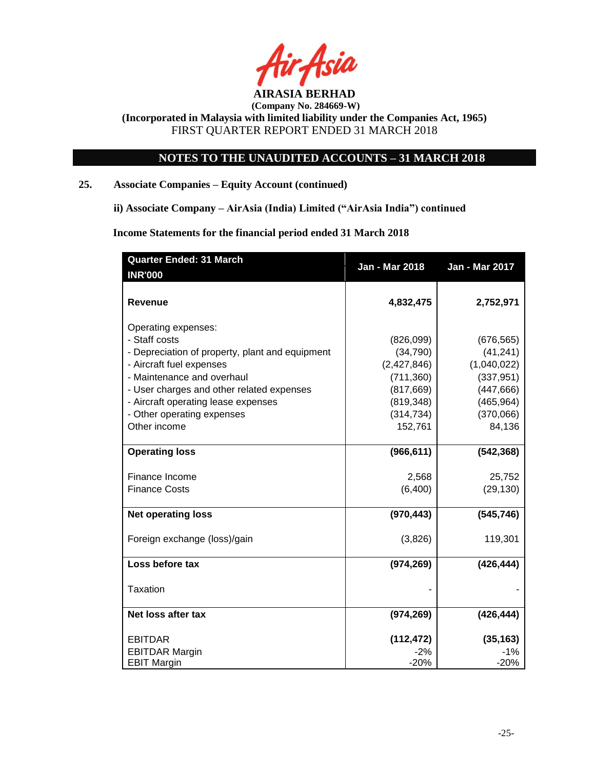

**(Company No. 284669-W)**

**(Incorporated in Malaysia with limited liability under the Companies Act, 1965)** FIRST QUARTER REPORT ENDED 31 MARCH 2018

# **NOTES TO THE UNAUDITED ACCOUNTS – 31 MARCH 2018**

# **25. Associate Companies – Equity Account (continued)**

**ii) Associate Company – AirAsia (India) Limited ("AirAsia India") continued** 

**Income Statements for the financial period ended 31 March 2018**

| <b>Quarter Ended: 31 March</b>                  | <b>Jan - Mar 2018</b> | Jan - Mar 2017      |
|-------------------------------------------------|-----------------------|---------------------|
| <b>INR'000</b>                                  |                       |                     |
| <b>Revenue</b>                                  | 4,832,475             | 2,752,971           |
| Operating expenses:                             |                       |                     |
| - Staff costs                                   | (826,099)             | (676, 565)          |
| - Depreciation of property, plant and equipment | (34, 790)             | (41, 241)           |
| - Aircraft fuel expenses                        | (2,427,846)           | (1,040,022)         |
| - Maintenance and overhaul                      | (711, 360)            | (337, 951)          |
| - User charges and other related expenses       | (817, 669)            | (447, 666)          |
| - Aircraft operating lease expenses             | (819, 348)            | (465, 964)          |
| - Other operating expenses                      | (314, 734)            | (370,066)           |
| Other income                                    | 152,761               | 84,136              |
|                                                 |                       |                     |
| <b>Operating loss</b>                           | (966, 611)            | (542, 368)          |
|                                                 |                       |                     |
| Finance Income<br><b>Finance Costs</b>          | 2,568<br>(6,400)      | 25,752<br>(29, 130) |
|                                                 |                       |                     |
| <b>Net operating loss</b>                       | (970, 443)            | (545, 746)          |
| Foreign exchange (loss)/gain                    | (3,826)               | 119,301             |
| Loss before tax                                 | (974, 269)            | (426, 444)          |
| <b>Taxation</b>                                 |                       |                     |
| Net loss after tax                              | (974, 269)            | (426, 444)          |
| <b>EBITDAR</b>                                  | (112, 472)            | (35, 163)           |
| <b>EBITDAR Margin</b>                           | $-2%$                 | $-1%$               |
| <b>EBIT Margin</b>                              | $-20%$                | $-20%$              |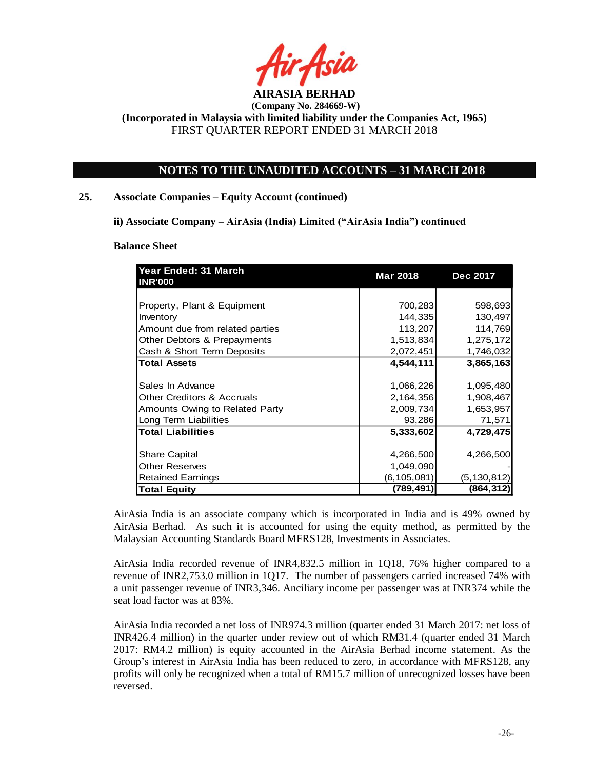

# **NOTES TO THE UNAUDITED ACCOUNTS – 31 MARCH 2018**

### **25. Associate Companies – Equity Account (continued)**

**ii) Associate Company – AirAsia (India) Limited ("AirAsia India") continued** 

#### **Balance Sheet**

| Year Ended: 31 March<br><b>INR'000</b> | <b>Mar 2018</b> | Dec 2017      |  |
|----------------------------------------|-----------------|---------------|--|
|                                        |                 |               |  |
| Property, Plant & Equipment            | 700,283         | 598,693       |  |
| Inventory                              | 144,335         | 130,497       |  |
| Amount due from related parties        | 113,207         | 114,769       |  |
| Other Debtors & Prepayments            | 1,513,834       | 1,275,172     |  |
| Cash & Short Term Deposits             | 2,072,451       | 1,746,032     |  |
| <b>Total Assets</b>                    | 4,544,111       | 3,865,163     |  |
|                                        |                 |               |  |
| Sales In Advance                       | 1,066,226       | 1,095,480     |  |
| <b>Other Creditors &amp; Accruals</b>  | 2,164,356       | 1,908,467     |  |
| Amounts Owing to Related Party         | 2,009,734       | 1,653,957     |  |
| Long Term Liabilities                  | 93,286          | 71,571        |  |
| <b>Total Liabilities</b>               | 5,333,602       | 4,729,475     |  |
|                                        |                 |               |  |
| <b>Share Capital</b>                   | 4,266,500       | 4,266,500     |  |
| <b>Other Reserves</b>                  | 1,049,090       |               |  |
| <b>Retained Earnings</b>               | (6,105,081)     | (5, 130, 812) |  |
| <b>Total Equity</b>                    | (789, 491)      | (864, 312)    |  |

AirAsia India is an associate company which is incorporated in India and is 49% owned by AirAsia Berhad. As such it is accounted for using the equity method, as permitted by the Malaysian Accounting Standards Board MFRS128, Investments in Associates.

AirAsia India recorded revenue of INR4,832.5 million in 1Q18, 76% higher compared to a revenue of INR2,753.0 million in 1Q17. The number of passengers carried increased 74% with a unit passenger revenue of INR3,346. Anciliary income per passenger was at INR374 while the seat load factor was at 83%.

AirAsia India recorded a net loss of INR974.3 million (quarter ended 31 March 2017: net loss of INR426.4 million) in the quarter under review out of which RM31.4 (quarter ended 31 March 2017: RM4.2 million) is equity accounted in the AirAsia Berhad income statement. As the Group's interest in AirAsia India has been reduced to zero, in accordance with MFRS128, any profits will only be recognized when a total of RM15.7 million of unrecognized losses have been reversed.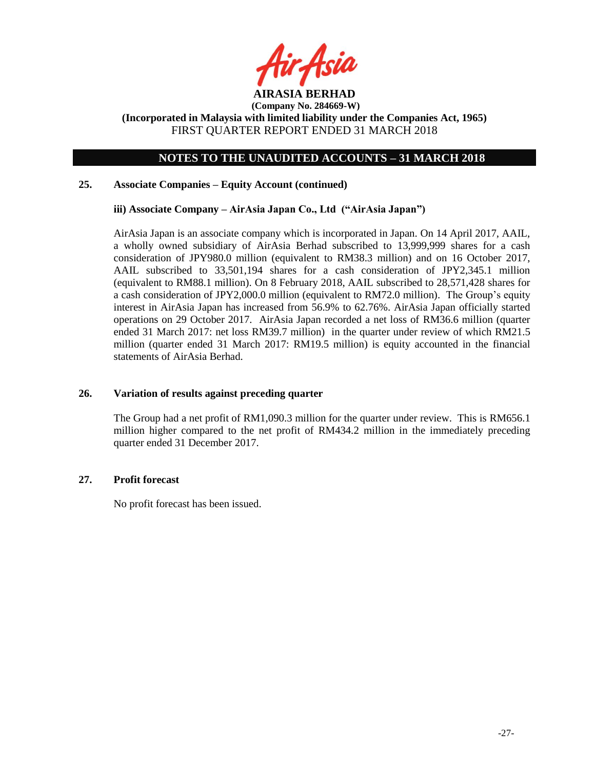

# **NOTES TO THE UNAUDITED ACCOUNTS – 31 MARCH 2018**

# **25. Associate Companies – Equity Account (continued)**

### **iii) Associate Company – AirAsia Japan Co., Ltd ("AirAsia Japan")**

AirAsia Japan is an associate company which is incorporated in Japan. On 14 April 2017, AAIL, a wholly owned subsidiary of AirAsia Berhad subscribed to 13,999,999 shares for a cash consideration of JPY980.0 million (equivalent to RM38.3 million) and on 16 October 2017, AAIL subscribed to 33,501,194 shares for a cash consideration of JPY2,345.1 million (equivalent to RM88.1 million). On 8 February 2018, AAIL subscribed to 28,571,428 shares for a cash consideration of JPY2,000.0 million (equivalent to RM72.0 million). The Group's equity interest in AirAsia Japan has increased from 56.9% to 62.76%. AirAsia Japan officially started operations on 29 October 2017. AirAsia Japan recorded a net loss of RM36.6 million (quarter ended 31 March 2017: net loss RM39.7 million) in the quarter under review of which RM21.5 million (quarter ended 31 March 2017: RM19.5 million) is equity accounted in the financial statements of AirAsia Berhad.

# **26. Variation of results against preceding quarter**

The Group had a net profit of RM1,090.3 million for the quarter under review. This is RM656.1 million higher compared to the net profit of RM434.2 million in the immediately preceding quarter ended 31 December 2017.

#### **27. Profit forecast**

No profit forecast has been issued.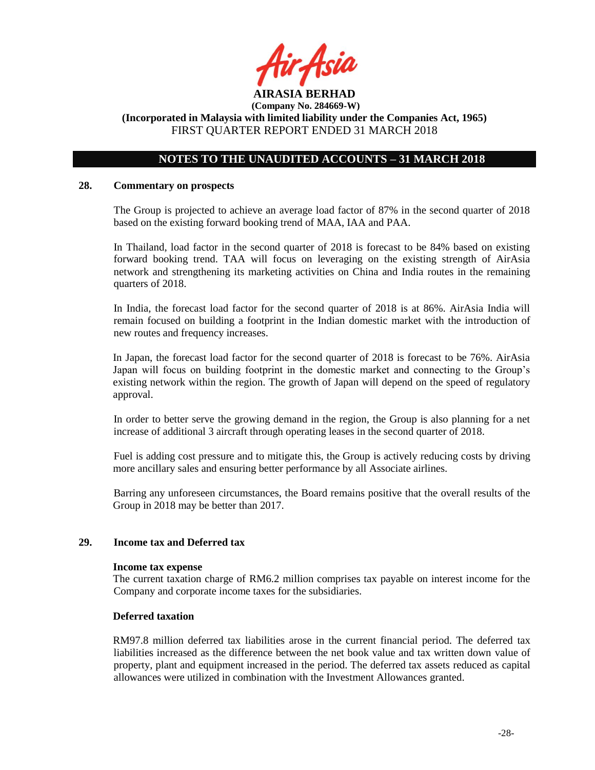

# **NOTES TO THE UNAUDITED ACCOUNTS – 31 MARCH 2018**

#### **28. Commentary on prospects**

The Group is projected to achieve an average load factor of 87% in the second quarter of 2018 based on the existing forward booking trend of MAA, IAA and PAA.

In Thailand, load factor in the second quarter of 2018 is forecast to be 84% based on existing forward booking trend. TAA will focus on leveraging on the existing strength of AirAsia network and strengthening its marketing activities on China and India routes in the remaining quarters of 2018.

In India, the forecast load factor for the second quarter of 2018 is at 86%. AirAsia India will remain focused on building a footprint in the Indian domestic market with the introduction of new routes and frequency increases.

In Japan, the forecast load factor for the second quarter of 2018 is forecast to be 76%. AirAsia Japan will focus on building footprint in the domestic market and connecting to the Group's existing network within the region. The growth of Japan will depend on the speed of regulatory approval.

In order to better serve the growing demand in the region, the Group is also planning for a net increase of additional 3 aircraft through operating leases in the second quarter of 2018.

Fuel is adding cost pressure and to mitigate this, the Group is actively reducing costs by driving more ancillary sales and ensuring better performance by all Associate airlines.

Barring any unforeseen circumstances, the Board remains positive that the overall results of the Group in 2018 may be better than 2017.

# **29. Income tax and Deferred tax**

#### **Income tax expense**

The current taxation charge of RM6.2 million comprises tax payable on interest income for the Company and corporate income taxes for the subsidiaries.

# **Deferred taxation**

RM97.8 million deferred tax liabilities arose in the current financial period. The deferred tax liabilities increased as the difference between the net book value and tax written down value of property, plant and equipment increased in the period. The deferred tax assets reduced as capital allowances were utilized in combination with the Investment Allowances granted.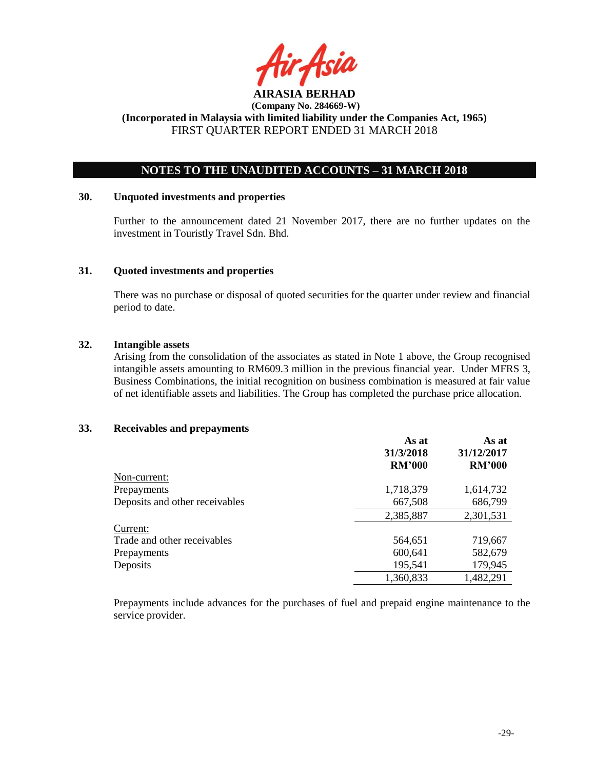

# **NOTES TO THE UNAUDITED ACCOUNTS – 31 MARCH 2018**

### **30. Unquoted investments and properties**

Further to the announcement dated 21 November 2017, there are no further updates on the investment in Touristly Travel Sdn. Bhd.

# **31. Quoted investments and properties**

There was no purchase or disposal of quoted securities for the quarter under review and financial period to date.

### **32. Intangible assets**

Arising from the consolidation of the associates as stated in Note 1 above, the Group recognised intangible assets amounting to RM609.3 million in the previous financial year. Under MFRS 3, Business Combinations, the initial recognition on business combination is measured at fair value of net identifiable assets and liabilities. The Group has completed the purchase price allocation.

### **33. Receivables and prepayments**

|                                | As at<br>31/3/2018 | As at<br>31/12/2017 |
|--------------------------------|--------------------|---------------------|
|                                | <b>RM'000</b>      | <b>RM'000</b>       |
| Non-current:                   |                    |                     |
| Prepayments                    | 1,718,379          | 1,614,732           |
| Deposits and other receivables | 667,508            | 686,799             |
|                                | 2,385,887          | 2,301,531           |
| Current:                       |                    |                     |
| Trade and other receivables    | 564,651            | 719,667             |
| Prepayments                    | 600,641            | 582,679             |
| Deposits                       | 195,541            | 179,945             |
|                                | 1,360,833          | 1,482,291           |

Prepayments include advances for the purchases of fuel and prepaid engine maintenance to the service provider.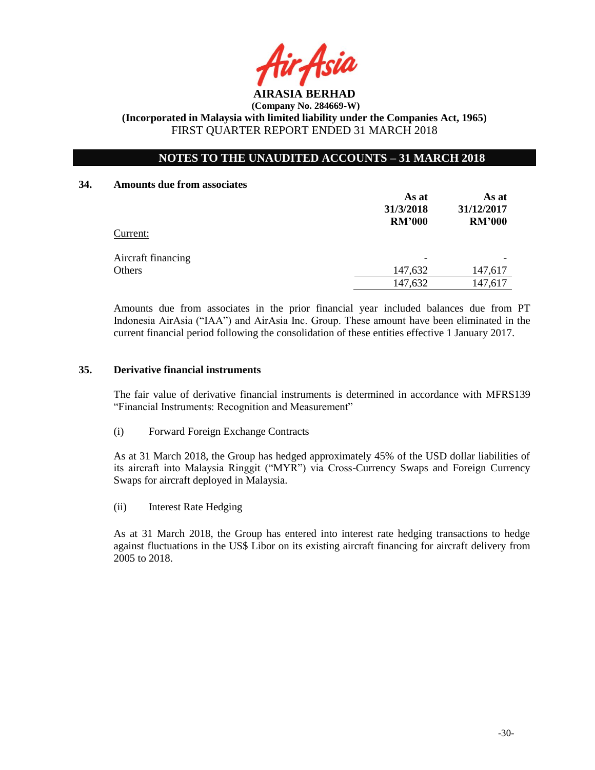

# **NOTES TO THE UNAUDITED ACCOUNTS – 31 MARCH 2018**

#### **34. Amounts due from associates**

|                    | As at<br>31/3/2018<br><b>RM'000</b> | As at<br>31/12/2017<br><b>RM'000</b> |
|--------------------|-------------------------------------|--------------------------------------|
| Current:           |                                     |                                      |
| Aircraft financing |                                     |                                      |
| Others             | 147,632                             | 147,617                              |
|                    | 147,632                             | 147,617                              |

Amounts due from associates in the prior financial year included balances due from PT Indonesia AirAsia ("IAA") and AirAsia Inc. Group. These amount have been eliminated in the current financial period following the consolidation of these entities effective 1 January 2017.

# **35. Derivative financial instruments**

The fair value of derivative financial instruments is determined in accordance with MFRS139 "Financial Instruments: Recognition and Measurement"

(i) Forward Foreign Exchange Contracts

As at 31 March 2018, the Group has hedged approximately 45% of the USD dollar liabilities of its aircraft into Malaysia Ringgit ("MYR") via Cross-Currency Swaps and Foreign Currency Swaps for aircraft deployed in Malaysia.

(ii) Interest Rate Hedging

As at 31 March 2018, the Group has entered into interest rate hedging transactions to hedge against fluctuations in the US\$ Libor on its existing aircraft financing for aircraft delivery from 2005 to 2018.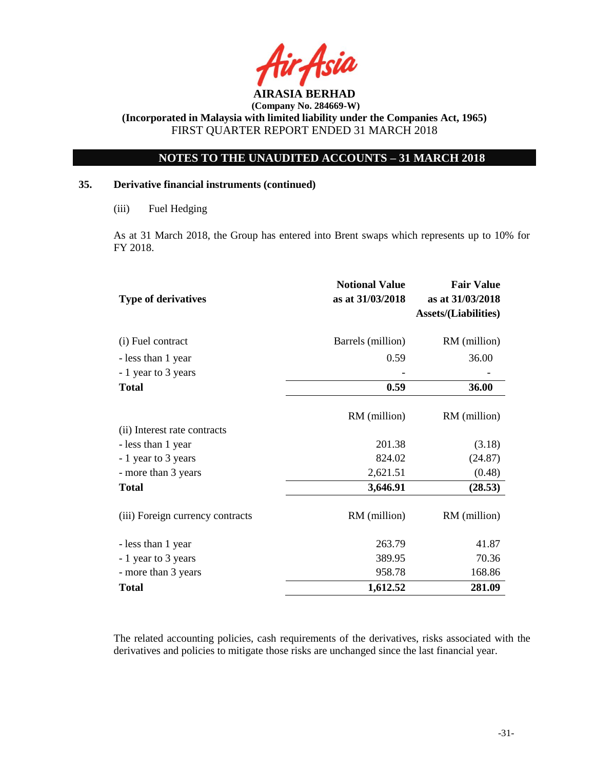

# **NOTES TO THE UNAUDITED ACCOUNTS – 31 MARCH 2018**

# **35. Derivative financial instruments (continued)**

As at 31 March 2018, the Group has entered into Brent swaps which represents up to 10% for FY 2018.

| <b>Type of derivatives</b>       | <b>Notional Value</b><br>as at 31/03/2018 | <b>Fair Value</b><br>as at 31/03/2018<br><b>Assets/(Liabilities)</b> |
|----------------------------------|-------------------------------------------|----------------------------------------------------------------------|
| (i) Fuel contract                | Barrels (million)                         | RM (million)                                                         |
| - less than 1 year               | 0.59                                      | 36.00                                                                |
| - 1 year to 3 years              |                                           |                                                                      |
| <b>Total</b>                     | 0.59                                      | 36.00                                                                |
| (ii) Interest rate contracts     | RM (million)                              | RM (million)                                                         |
| - less than 1 year               | 201.38                                    | (3.18)                                                               |
| - 1 year to 3 years              | 824.02                                    | (24.87)                                                              |
| - more than 3 years              | 2,621.51                                  | (0.48)                                                               |
| <b>Total</b>                     | 3,646.91                                  | (28.53)                                                              |
| (iii) Foreign currency contracts | RM (million)                              | RM (million)                                                         |
| - less than 1 year               | 263.79                                    | 41.87                                                                |
| - 1 year to 3 years              | 389.95                                    | 70.36                                                                |
| - more than 3 years              | 958.78                                    | 168.86                                                               |
| <b>Total</b>                     | 1,612.52                                  | 281.09                                                               |

The related accounting policies, cash requirements of the derivatives, risks associated with the derivatives and policies to mitigate those risks are unchanged since the last financial year.

<sup>(</sup>iii) Fuel Hedging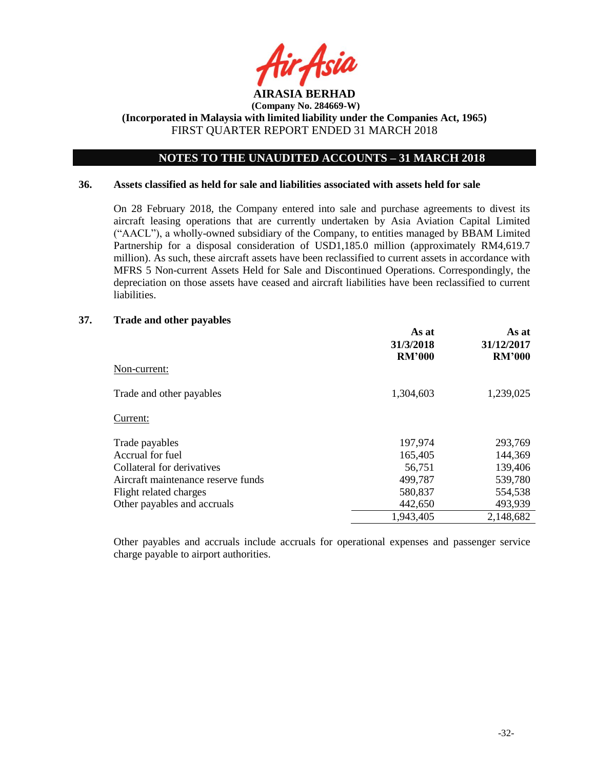

# **NOTES TO THE UNAUDITED ACCOUNTS – 31 MARCH 2018**

#### **36. Assets classified as held for sale and liabilities associated with assets held for sale**

On 28 February 2018, the Company entered into sale and purchase agreements to divest its aircraft leasing operations that are currently undertaken by Asia Aviation Capital Limited ("AACL"), a wholly-owned subsidiary of the Company, to entities managed by BBAM Limited Partnership for a disposal consideration of USD1,185.0 million (approximately RM4,619.7 million). As such, these aircraft assets have been reclassified to current assets in accordance with MFRS 5 Non-current Assets Held for Sale and Discontinued Operations. Correspondingly, the depreciation on those assets have ceased and aircraft liabilities have been reclassified to current liabilities.

### **37. Trade and other payables**

|                                    | As at<br>31/3/2018<br><b>RM'000</b> | As at<br>31/12/2017<br><b>RM'000</b> |
|------------------------------------|-------------------------------------|--------------------------------------|
| Non-current:                       |                                     |                                      |
| Trade and other payables           | 1,304,603                           | 1,239,025                            |
| Current:                           |                                     |                                      |
| Trade payables                     | 197,974                             | 293,769                              |
| Accrual for fuel                   | 165,405                             | 144,369                              |
| Collateral for derivatives         | 56,751                              | 139,406                              |
| Aircraft maintenance reserve funds | 499,787                             | 539,780                              |
| Flight related charges             | 580,837                             | 554,538                              |
| Other payables and accruals        | 442,650                             | 493,939                              |
|                                    | 1,943,405                           | 2,148,682                            |

Other payables and accruals include accruals for operational expenses and passenger service charge payable to airport authorities.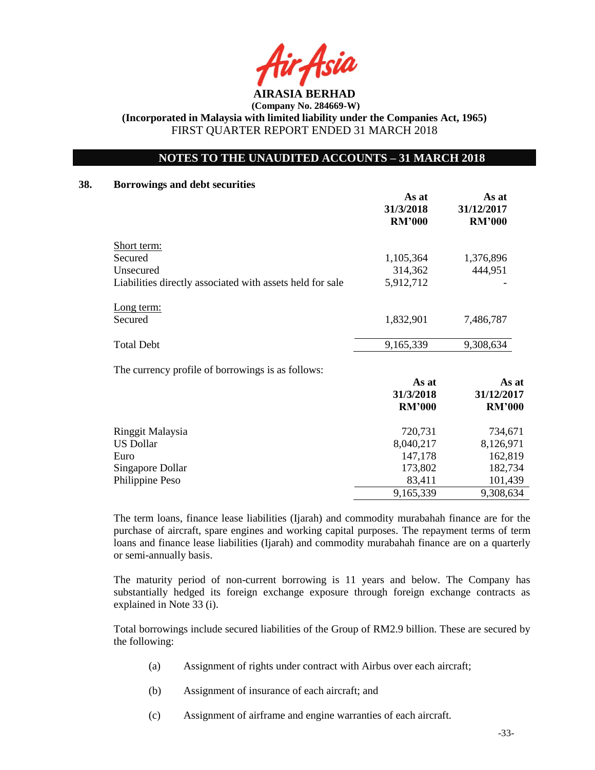**AIRASIA BERHAD** 

# **NOTES TO THE UNAUDITED ACCOUNTS – 31 MARCH 2018**

# **38. Borrowings and debt securities**

|                                                           | As at<br>31/3/2018<br><b>RM'000</b> | As at<br>31/12/2017<br><b>RM'000</b> |
|-----------------------------------------------------------|-------------------------------------|--------------------------------------|
| Short term:                                               |                                     |                                      |
| Secured                                                   | 1,105,364                           | 1,376,896                            |
| Unsecured                                                 | 314,362                             | 444,951                              |
| Liabilities directly associated with assets held for sale | 5,912,712                           |                                      |
| <u>Long</u> term:                                         |                                     |                                      |
| Secured                                                   | 1,832,901                           | 7,486,787                            |
| <b>Total Debt</b>                                         | 9,165,339                           | 9,308,634                            |
|                                                           |                                     |                                      |

The currency profile of borrowings is as follows:

|                  | As at<br>31/3/2018<br><b>RM'000</b> | As at<br>31/12/2017<br><b>RM'000</b> |
|------------------|-------------------------------------|--------------------------------------|
| Ringgit Malaysia | 720,731                             | 734,671                              |
| <b>US Dollar</b> | 8,040,217                           | 8,126,971                            |
| Euro             | 147,178                             | 162,819                              |
| Singapore Dollar | 173,802                             | 182,734                              |
| Philippine Peso  | 83,411                              | 101,439                              |
|                  | 9,165,339                           | 9,308,634                            |

The term loans, finance lease liabilities (Ijarah) and commodity murabahah finance are for the purchase of aircraft, spare engines and working capital purposes. The repayment terms of term loans and finance lease liabilities (Ijarah) and commodity murabahah finance are on a quarterly or semi-annually basis.

The maturity period of non-current borrowing is 11 years and below. The Company has substantially hedged its foreign exchange exposure through foreign exchange contracts as explained in Note 33 (i).

Total borrowings include secured liabilities of the Group of RM2.9 billion. These are secured by the following:

- (a) Assignment of rights under contract with Airbus over each aircraft;
- (b) Assignment of insurance of each aircraft; and
- (c) Assignment of airframe and engine warranties of each aircraft.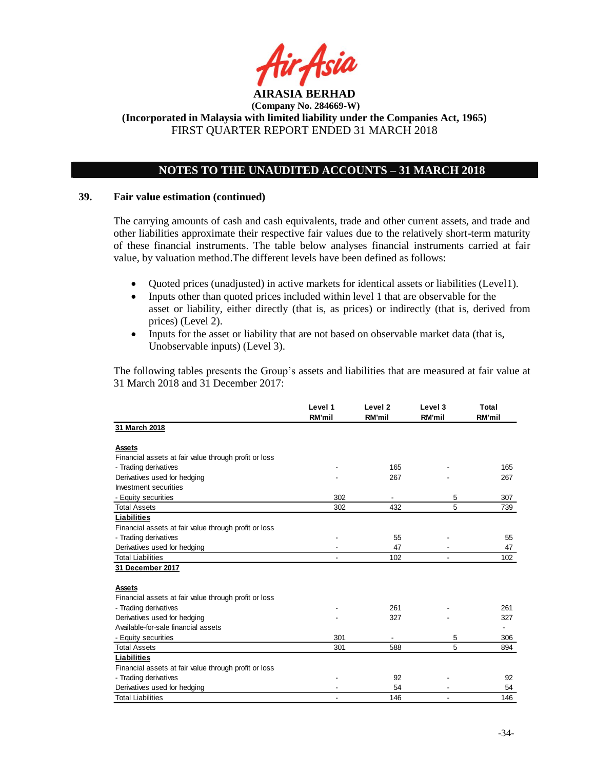

# **NOTES TO THE UNAUDITED ACCOUNTS – 31 MARCH 2018**

### **39. Fair value estimation (continued)**

The carrying amounts of cash and cash equivalents, trade and other current assets, and trade and other liabilities approximate their respective fair values due to the relatively short-term maturity of these financial instruments. The table below analyses financial instruments carried at fair value, by valuation method.The different levels have been defined as follows:

- Quoted prices (unadjusted) in active markets for identical assets or liabilities (Level1).
- Inputs other than quoted prices included within level 1 that are observable for the asset or liability, either directly (that is, as prices) or indirectly (that is, derived from prices) (Level 2).
- Inputs for the asset or liability that are not based on observable market data (that is, Unobservable inputs) (Level 3).

The following tables presents the Group's assets and liabilities that are measured at fair value at 31 March 2018 and 31 December 2017:

|                                                       | Level 1<br><b>RM'mil</b> | Level 2<br><b>RM'mil</b> | Level 3<br><b>RM'mil</b> | Total<br><b>RM'mil</b>   |
|-------------------------------------------------------|--------------------------|--------------------------|--------------------------|--------------------------|
| 31 March 2018                                         |                          |                          |                          |                          |
| Assets                                                |                          |                          |                          |                          |
| Financial assets at fair value through profit or loss |                          |                          |                          |                          |
| - Trading derivatives                                 |                          | 165                      |                          | 165                      |
| Derivatives used for hedging                          |                          | 267                      |                          | 267                      |
| Investment securities                                 |                          |                          |                          |                          |
| - Equity securities                                   | 302                      |                          | 5                        | 307                      |
| <b>Total Assets</b>                                   | 302                      | 432                      | 5                        | 739                      |
| Liabilities                                           |                          |                          |                          |                          |
| Financial assets at fair value through profit or loss |                          |                          |                          |                          |
| - Trading derivatives                                 |                          | 55                       |                          | 55                       |
| Derivatives used for hedging                          |                          | 47                       |                          | 47                       |
| <b>Total Liabilities</b>                              |                          | 102                      |                          | 102                      |
| 31 December 2017                                      |                          |                          |                          |                          |
| <b>Assets</b>                                         |                          |                          |                          |                          |
| Financial assets at fair value through profit or loss |                          |                          |                          |                          |
| - Trading derivatives                                 |                          | 261                      |                          | 261                      |
| Derivatives used for hedging                          |                          | 327                      |                          | 327                      |
| Available-for-sale financial assets                   |                          |                          |                          | $\overline{\phantom{a}}$ |
| - Equity securities                                   | 301                      | ٠                        | 5                        | 306                      |
| <b>Total Assets</b>                                   | 301                      | 588                      | 5                        | 894                      |
| Liabilities                                           |                          |                          |                          |                          |
| Financial assets at fair value through profit or loss |                          |                          |                          |                          |
| - Trading derivatives                                 |                          | 92                       |                          | 92                       |
| Derivatives used for hedging                          |                          | 54                       |                          | 54                       |
| <b>Total Liabilities</b>                              |                          | 146                      |                          | 146                      |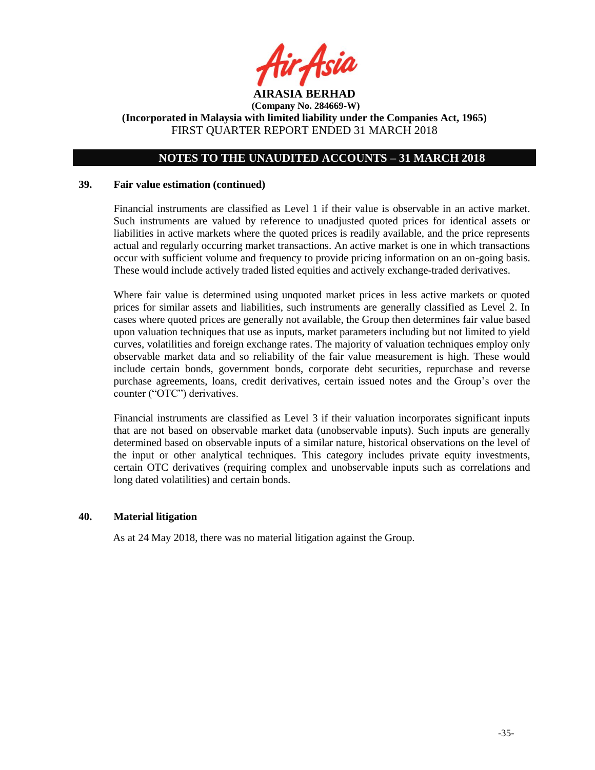

# **NOTES TO THE UNAUDITED ACCOUNTS – 31 MARCH 2018**

#### **39. Fair value estimation (continued)**

Financial instruments are classified as Level 1 if their value is observable in an active market. Such instruments are valued by reference to unadjusted quoted prices for identical assets or liabilities in active markets where the quoted prices is readily available, and the price represents actual and regularly occurring market transactions. An active market is one in which transactions occur with sufficient volume and frequency to provide pricing information on an on-going basis. These would include actively traded listed equities and actively exchange-traded derivatives.

Where fair value is determined using unquoted market prices in less active markets or quoted prices for similar assets and liabilities, such instruments are generally classified as Level 2. In cases where quoted prices are generally not available, the Group then determines fair value based upon valuation techniques that use as inputs, market parameters including but not limited to yield curves, volatilities and foreign exchange rates. The majority of valuation techniques employ only observable market data and so reliability of the fair value measurement is high. These would include certain bonds, government bonds, corporate debt securities, repurchase and reverse purchase agreements, loans, credit derivatives, certain issued notes and the Group's over the counter ("OTC") derivatives.

Financial instruments are classified as Level 3 if their valuation incorporates significant inputs that are not based on observable market data (unobservable inputs). Such inputs are generally determined based on observable inputs of a similar nature, historical observations on the level of the input or other analytical techniques. This category includes private equity investments, certain OTC derivatives (requiring complex and unobservable inputs such as correlations and long dated volatilities) and certain bonds.

# **40. Material litigation**

As at 24 May 2018, there was no material litigation against the Group.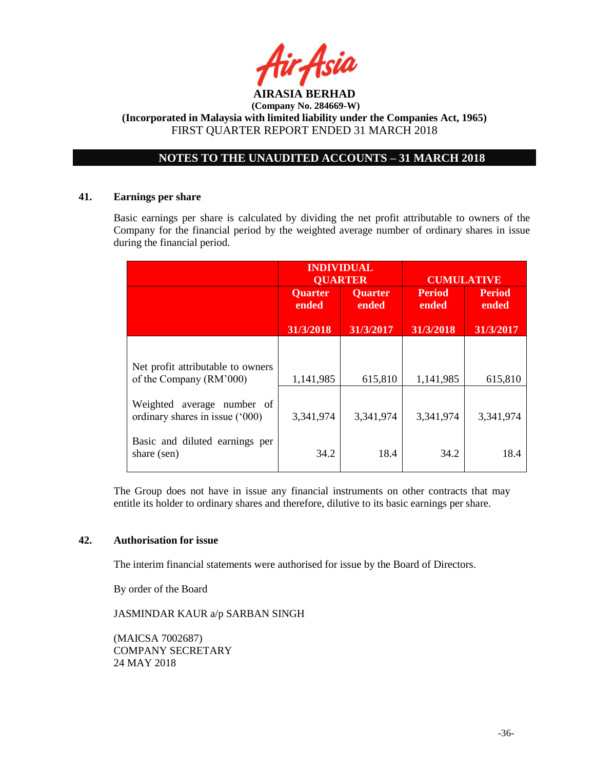

# **NOTES TO THE UNAUDITED ACCOUNTS – 31 MARCH 2018**

### **41. Earnings per share**

Basic earnings per share is calculated by dividing the net profit attributable to owners of the Company for the financial period by the weighted average number of ordinary shares in issue during the financial period.

|                                                               | <b>INDIVIDUAL</b><br><b>OUARTER</b> |                         | <b>CUMULATIVE</b>      |                        |
|---------------------------------------------------------------|-------------------------------------|-------------------------|------------------------|------------------------|
|                                                               | <b>Quarter</b><br>ended             | <b>Quarter</b><br>ended | <b>Period</b><br>ended | <b>Period</b><br>ended |
|                                                               | 31/3/2018                           | 31/3/2017               | 31/3/2018              | 31/3/2017              |
|                                                               |                                     |                         |                        |                        |
| Net profit attributable to owners<br>of the Company (RM'000)  | 1,141,985                           | 615,810                 | 1,141,985              | 615,810                |
| Weighted average number of<br>ordinary shares in issue ('000) | 3,341,974                           | 3,341,974               | 3,341,974              | 3,341,974              |
| Basic and diluted earnings per<br>share (sen)                 | 34.2                                | 18.4                    | 34.2                   | 18.4                   |

The Group does not have in issue any financial instruments on other contracts that may entitle its holder to ordinary shares and therefore, dilutive to its basic earnings per share.

# **42. Authorisation for issue**

The interim financial statements were authorised for issue by the Board of Directors.

By order of the Board

JASMINDAR KAUR a/p SARBAN SINGH

(MAICSA 7002687) COMPANY SECRETARY 24 MAY 2018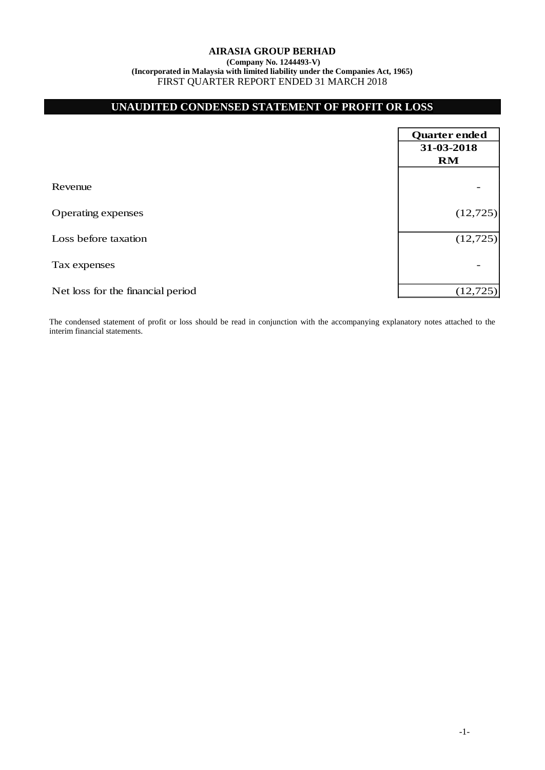**(Company No. 1244493-V) (Incorporated in Malaysia with limited liability under the Companies Act, 1965)** FIRST QUARTER REPORT ENDED 31 MARCH 2018

# **UNAUDITED CONDENSED STATEMENT OF PROFIT OR LOSS**

|                                   | Quarter ended |
|-----------------------------------|---------------|
|                                   | 31-03-2018    |
|                                   | RM            |
|                                   |               |
| Revenue                           |               |
|                                   |               |
| <b>Operating expenses</b>         | (12, 725)     |
| Loss before taxation              | (12, 725)     |
|                                   |               |
| Tax expenses                      |               |
|                                   |               |
| Net loss for the financial period | (12, 725)     |

The condensed statement of profit or loss should be read in conjunction with the accompanying explanatory notes attached to the interim financial statements.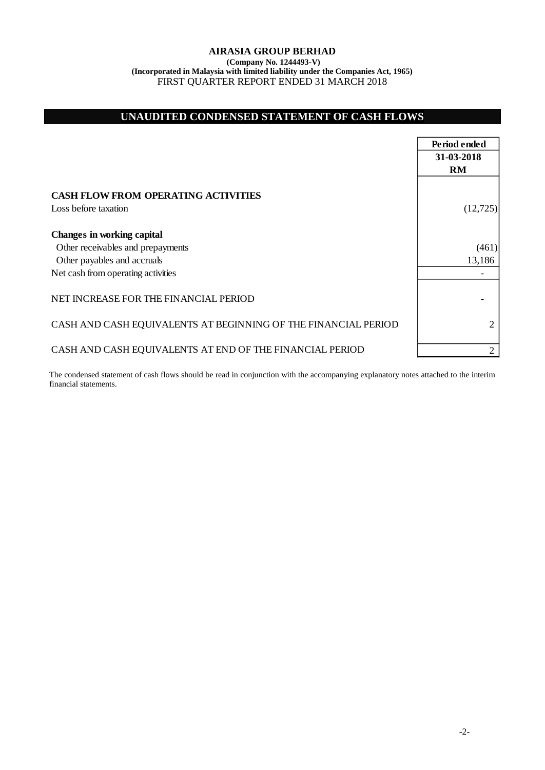**(Company No. 1244493-V) (Incorporated in Malaysia with limited liability under the Companies Act, 1965)** FIRST QUARTER REPORT ENDED 31 MARCH 2018

# **UNAUDITED CONDENSED STATEMENT OF CASH FLOWS**

|                                                                        | Period ended   |
|------------------------------------------------------------------------|----------------|
|                                                                        | 31-03-2018     |
|                                                                        | <b>RM</b>      |
| <b>CASH FLOW FROM OPERATING ACTIVITIES</b><br>Loss before taxation     | (12, 725)      |
| <b>Changes in working capital</b><br>Other receivables and prepayments | (461)          |
| Other payables and accruals                                            | 13,186         |
| Net cash from operating activities                                     |                |
| NET INCREASE FOR THE FINANCIAL PERIOD                                  |                |
| CASH AND CASH EQUIVALENTS AT BEGINNING OF THE FINANCIAL PERIOD         | 2              |
| CASH AND CASH EQUIVALENTS AT END OF THE FINANCIAL PERIOD               | $\overline{2}$ |

The condensed statement of cash flows should be read in conjunction with the accompanying explanatory notes attached to the interim financial statements.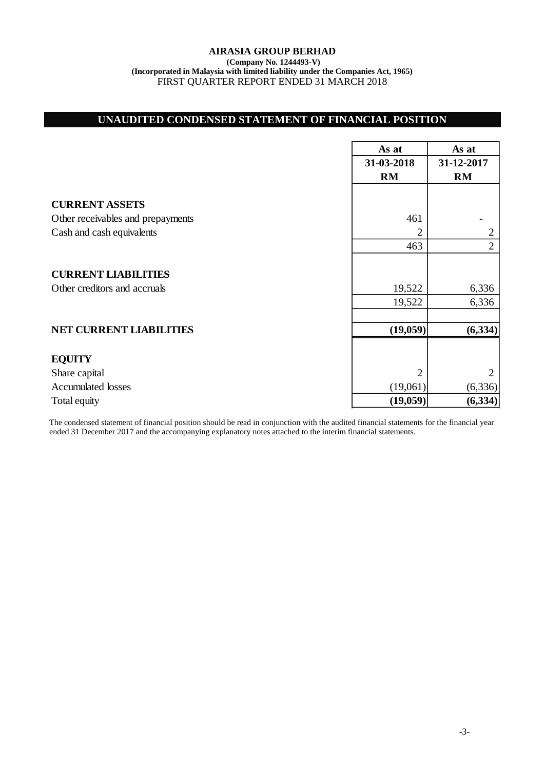**(Company No. 1244493-V) (Incorporated in Malaysia with limited liability under the Companies Act, 1965)** FIRST QUARTER REPORT ENDED 31 MARCH 2018

# **UNAUDITED CONDENSED STATEMENT OF FINANCIAL POSITION**

|                                   | As at      | As at          |
|-----------------------------------|------------|----------------|
|                                   | 31-03-2018 | 31-12-2017     |
|                                   | <b>RM</b>  | RM             |
|                                   |            |                |
| <b>CURRENT ASSETS</b>             |            |                |
| Other receivables and prepayments | 461        |                |
| Cash and cash equivalents         | 2          | 2              |
|                                   | 463        | $\overline{2}$ |
|                                   |            |                |
| <b>CURRENT LIABILITIES</b>        |            |                |
| Other creditors and accruals      | 19,522     | 6,336          |
|                                   | 19,522     | 6,336          |
|                                   |            |                |
| <b>NET CURRENT LIABILITIES</b>    | (19,059)   | (6, 334)       |
|                                   |            |                |
| <b>EQUITY</b>                     |            |                |
| Share capital                     | 2          | 2              |
| <b>Accumulated losses</b>         | (19,061)   | (6, 336)       |
| Total equity                      | (19,059)   | (6, 334)       |

The condensed statement of financial position should be read in conjunction with the audited financial statements for the financial year ended 31 December 2017 and the accompanying explanatory notes attached to the interim financial statements.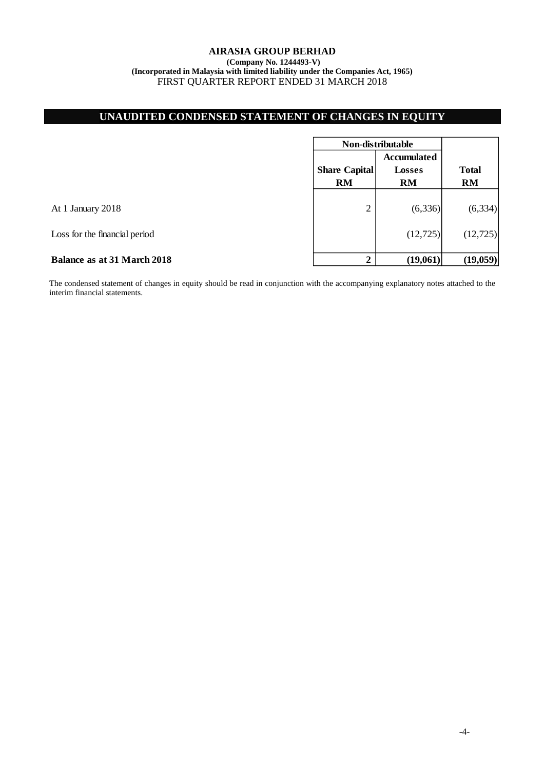# **UNAUDITED CONDENSED STATEMENT OF CHANGES IN EQUITY**

|                               | Non-distributable                 |                                                  |                           |
|-------------------------------|-----------------------------------|--------------------------------------------------|---------------------------|
|                               | <b>Share Capital</b><br><b>RM</b> | <b>Accumulated</b><br><b>Losses</b><br><b>RM</b> | <b>Total</b><br><b>RM</b> |
| At 1 January 2018             | $\overline{2}$                    | (6,336)                                          | (6, 334)                  |
| Loss for the financial period |                                   | (12, 725)                                        | (12, 725)                 |
| Balance as at 31 March 2018   | $\mathbf 2$                       | (19,061)                                         | (19,059)                  |

The condensed statement of changes in equity should be read in conjunction with the accompanying explanatory notes attached to the interim financial statements.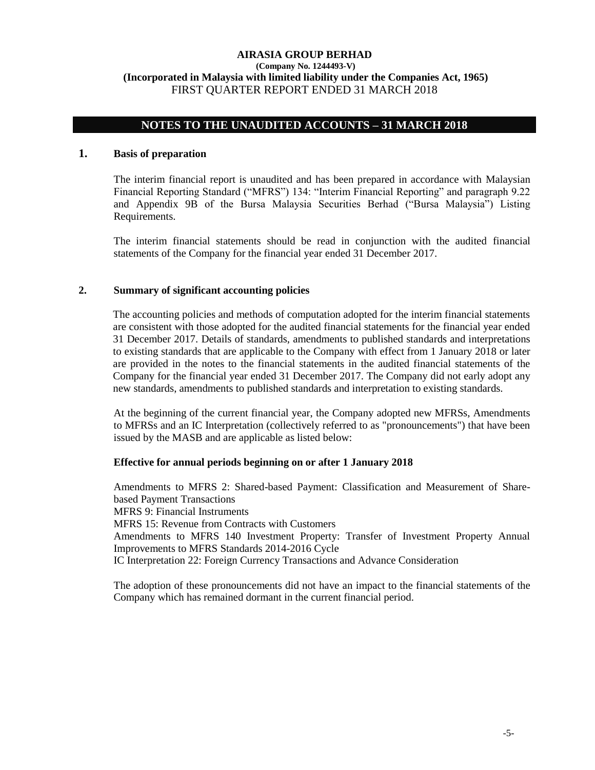# **NOTES TO THE UNAUDITED ACCOUNTS – 31 MARCH 2018**

# **1. Basis of preparation**

The interim financial report is unaudited and has been prepared in accordance with Malaysian Financial Reporting Standard ("MFRS") 134: "Interim Financial Reporting" and paragraph 9.22 and Appendix 9B of the Bursa Malaysia Securities Berhad ("Bursa Malaysia") Listing Requirements.

The interim financial statements should be read in conjunction with the audited financial statements of the Company for the financial year ended 31 December 2017.

### **2. Summary of significant accounting policies**

The accounting policies and methods of computation adopted for the interim financial statements are consistent with those adopted for the audited financial statements for the financial year ended 31 December 2017. Details of standards, amendments to published standards and interpretations to existing standards that are applicable to the Company with effect from 1 January 2018 or later are provided in the notes to the financial statements in the audited financial statements of the Company for the financial year ended 31 December 2017. The Company did not early adopt any new standards, amendments to published standards and interpretation to existing standards.

At the beginning of the current financial year, the Company adopted new MFRSs, Amendments to MFRSs and an IC Interpretation (collectively referred to as "pronouncements") that have been issued by the MASB and are applicable as listed below:

# **Effective for annual periods beginning on or after 1 January 2018**

Amendments to MFRS 2: Shared-based Payment: Classification and Measurement of Sharebased Payment Transactions MFRS 9: Financial Instruments MFRS 15: Revenue from Contracts with Customers Amendments to MFRS 140 Investment Property: Transfer of Investment Property Annual Improvements to MFRS Standards 2014-2016 Cycle IC Interpretation 22: Foreign Currency Transactions and Advance Consideration

The adoption of these pronouncements did not have an impact to the financial statements of the Company which has remained dormant in the current financial period.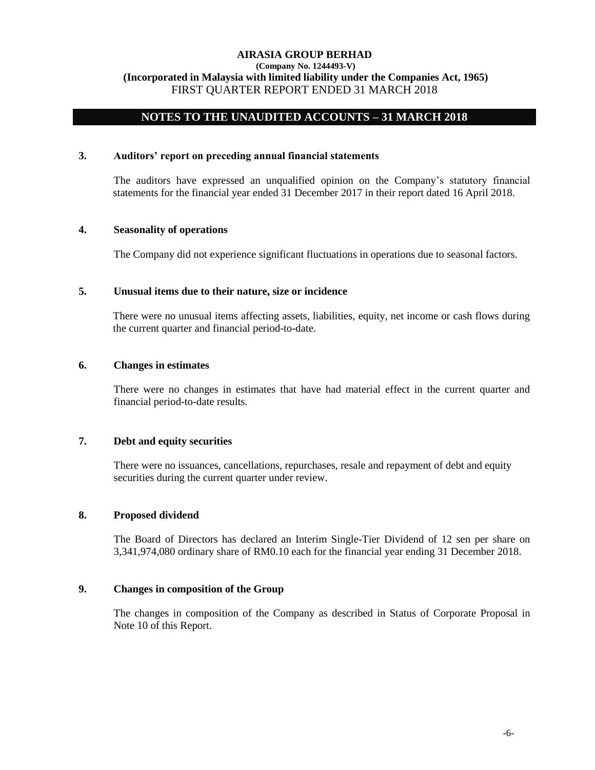### **(Company No. 1244493-V) (Incorporated in Malaysia with limited liability under the Companies Act, 1965)** FIRST QUARTER REPORT ENDED 31 MARCH 2018

# **NOTES TO THE UNAUDITED ACCOUNTS – 31 MARCH 2018**

### **3. Auditors' report on preceding annual financial statements**

The auditors have expressed an unqualified opinion on the Company's statutory financial statements for the financial year ended 31 December 2017 in their report dated 16 April 2018.

### **4. Seasonality of operations**

The Company did not experience significant fluctuations in operations due to seasonal factors.

### **5. Unusual items due to their nature, size or incidence**

There were no unusual items affecting assets, liabilities, equity, net income or cash flows during the current quarter and financial period-to-date.

# **6. Changes in estimates**

There were no changes in estimates that have had material effect in the current quarter and financial period-to-date results.

# **7. Debt and equity securities**

There were no issuances, cancellations, repurchases, resale and repayment of debt and equity securities during the current quarter under review.

# **8. Proposed dividend**

The Board of Directors has declared an Interim Single-Tier Dividend of 12 sen per share on 3,341,974,080 ordinary share of RM0.10 each for the financial year ending 31 December 2018.

# **9. Changes in composition of the Group**

The changes in composition of the Company as described in Status of Corporate Proposal in Note 10 of this Report.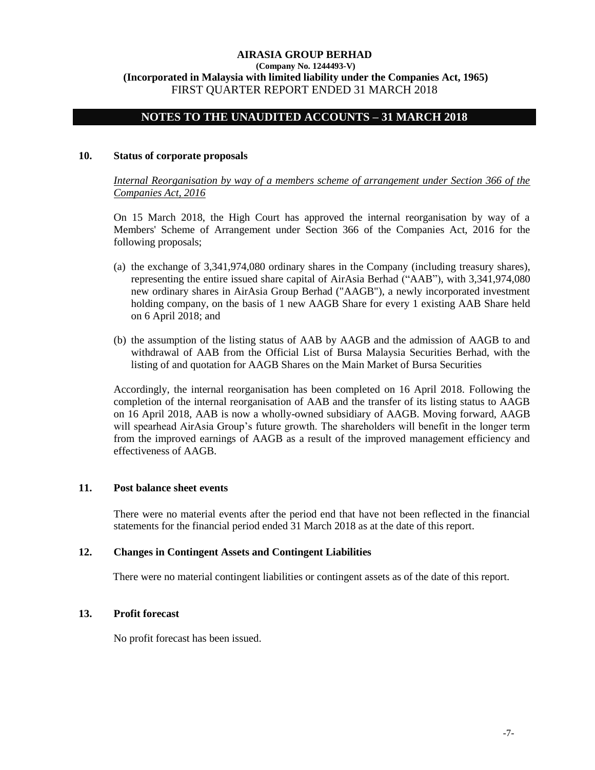### **(Company No. 1244493-V) (Incorporated in Malaysia with limited liability under the Companies Act, 1965)** FIRST QUARTER REPORT ENDED 31 MARCH 2018

# **NOTES TO THE UNAUDITED ACCOUNTS – 31 MARCH 2018**

### **10. Status of corporate proposals**

*Internal Reorganisation by way of a members scheme of arrangement under Section 366 of the Companies Act, 2016*

On 15 March 2018, the High Court has approved the internal reorganisation by way of a Members' Scheme of Arrangement under Section 366 of the Companies Act, 2016 for the following proposals;

- (a) the exchange of 3,341,974,080 ordinary shares in the Company (including treasury shares), representing the entire issued share capital of AirAsia Berhad ("AAB"), with 3,341,974,080 new ordinary shares in AirAsia Group Berhad ("AAGB"), a newly incorporated investment holding company, on the basis of 1 new AAGB Share for every 1 existing AAB Share held on 6 April 2018; and
- (b) the assumption of the listing status of AAB by AAGB and the admission of AAGB to and withdrawal of AAB from the Official List of Bursa Malaysia Securities Berhad, with the listing of and quotation for AAGB Shares on the Main Market of Bursa Securities

Accordingly, the internal reorganisation has been completed on 16 April 2018. Following the completion of the internal reorganisation of AAB and the transfer of its listing status to AAGB on 16 April 2018, AAB is now a wholly-owned subsidiary of AAGB. Moving forward, AAGB will spearhead AirAsia Group's future growth. The shareholders will benefit in the longer term from the improved earnings of AAGB as a result of the improved management efficiency and effectiveness of AAGB.

#### **11. Post balance sheet events**

There were no material events after the period end that have not been reflected in the financial statements for the financial period ended 31 March 2018 as at the date of this report.

#### **12. Changes in Contingent Assets and Contingent Liabilities**

There were no material contingent liabilities or contingent assets as of the date of this report.

# **13. Profit forecast**

No profit forecast has been issued.